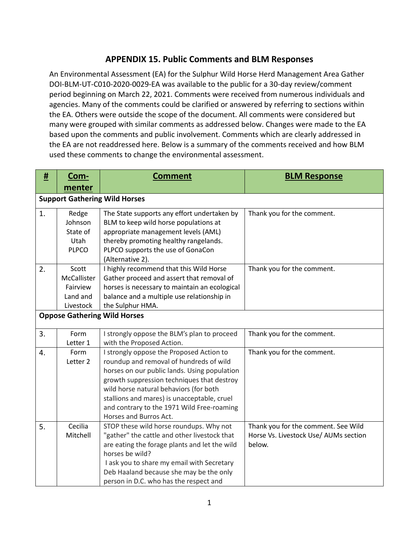## **APPENDIX 15. Public Comments and BLM Responses**

An Environmental Assessment (EA) for the Sulphur Wild Horse Herd Management Area Gather DOI-BLM-UT-C010-2020-0029-EA was available to the public for a 30-day review/comment period beginning on March 22, 2021. Comments were received from numerous individuals and agencies. Many of the comments could be clarified or answered by referring to sections within the EA. Others were outside the scope of the document. All comments were considered but many were grouped with similar comments as addressed below. Changes were made to the EA based upon the comments and public involvement. Comments which are clearly addressed in the EA are not readdressed here. Below is a summary of the comments received and how BLM used these comments to change the environmental assessment.

| #  | <u>Com-</u>  | <b>Comment</b>                                                                          | <b>BLM Response</b>                   |
|----|--------------|-----------------------------------------------------------------------------------------|---------------------------------------|
|    | menter       |                                                                                         |                                       |
|    |              | <b>Support Gathering Wild Horses</b>                                                    |                                       |
| 1. | Redge        | The State supports any effort undertaken by                                             | Thank you for the comment.            |
|    | Johnson      | BLM to keep wild horse populations at                                                   |                                       |
|    | State of     | appropriate management levels (AML)                                                     |                                       |
|    | Utah         | thereby promoting healthy rangelands.                                                   |                                       |
|    | <b>PLPCO</b> | PLPCO supports the use of GonaCon                                                       |                                       |
|    |              | (Alternative 2).                                                                        |                                       |
| 2. | Scott        | I highly recommend that this Wild Horse                                                 | Thank you for the comment.            |
|    | McCallister  | Gather proceed and assert that removal of                                               |                                       |
|    | Fairview     | horses is necessary to maintain an ecological                                           |                                       |
|    | Land and     | balance and a multiple use relationship in                                              |                                       |
|    | Livestock    | the Sulphur HMA.                                                                        |                                       |
|    |              | <b>Oppose Gathering Wild Horses</b>                                                     |                                       |
|    |              |                                                                                         |                                       |
| 3. | Form         | I strongly oppose the BLM's plan to proceed                                             | Thank you for the comment.            |
|    | Letter 1     | with the Proposed Action.                                                               |                                       |
| 4. | Form         | I strongly oppose the Proposed Action to                                                | Thank you for the comment.            |
|    | Letter 2     | roundup and removal of hundreds of wild                                                 |                                       |
|    |              | horses on our public lands. Using population                                            |                                       |
|    |              | growth suppression techniques that destroy                                              |                                       |
|    |              | wild horse natural behaviors (for both                                                  |                                       |
|    |              | stallions and mares) is unacceptable, cruel                                             |                                       |
|    |              | and contrary to the 1971 Wild Free-roaming                                              |                                       |
|    | Cecilia      | Horses and Burros Act.                                                                  | Thank you for the comment. See Wild   |
| 5. | Mitchell     | STOP these wild horse roundups. Why not<br>"gather" the cattle and other livestock that | Horse Vs. Livestock Use/ AUMs section |
|    |              | are eating the forage plants and let the wild                                           | below.                                |
|    |              | horses be wild?                                                                         |                                       |
|    |              | I ask you to share my email with Secretary                                              |                                       |
|    |              | Deb Haaland because she may be the only                                                 |                                       |
|    |              | person in D.C. who has the respect and                                                  |                                       |
|    |              |                                                                                         |                                       |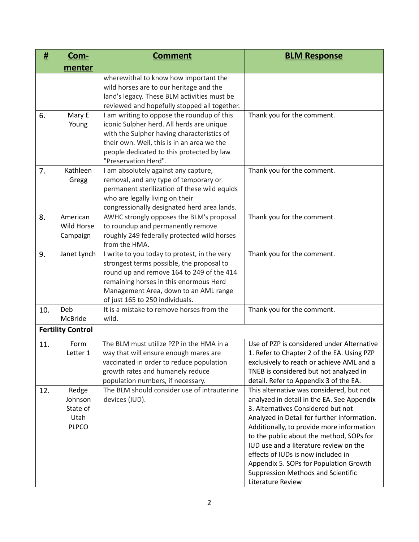| #   | <u>Com-</u>                                          | <b>Comment</b>                                                                                                                                                                                                                                               | <b>BLM Response</b>                                                                                                                                                                                                                                                                                                                                                                                                                                              |
|-----|------------------------------------------------------|--------------------------------------------------------------------------------------------------------------------------------------------------------------------------------------------------------------------------------------------------------------|------------------------------------------------------------------------------------------------------------------------------------------------------------------------------------------------------------------------------------------------------------------------------------------------------------------------------------------------------------------------------------------------------------------------------------------------------------------|
|     | menter                                               |                                                                                                                                                                                                                                                              |                                                                                                                                                                                                                                                                                                                                                                                                                                                                  |
|     |                                                      | wherewithal to know how important the<br>wild horses are to our heritage and the<br>land's legacy. These BLM activities must be<br>reviewed and hopefully stopped all together.                                                                              |                                                                                                                                                                                                                                                                                                                                                                                                                                                                  |
| 6.  | Mary E<br>Young                                      | I am writing to oppose the roundup of this<br>iconic Sulpher herd. All herds are unique<br>with the Sulpher having characteristics of<br>their own. Well, this is in an area we the<br>people dedicated to this protected by law<br>"Preservation Herd".     | Thank you for the comment.                                                                                                                                                                                                                                                                                                                                                                                                                                       |
| 7.  | Kathleen<br>Gregg                                    | I am absolutely against any capture,<br>removal, and any type of temporary or<br>permanent sterilization of these wild equids<br>who are legally living on their<br>congressionally designated herd area lands.                                              | Thank you for the comment.                                                                                                                                                                                                                                                                                                                                                                                                                                       |
| 8.  | American<br>Wild Horse<br>Campaign                   | AWHC strongly opposes the BLM's proposal<br>to roundup and permanently remove<br>roughly 249 federally protected wild horses<br>from the HMA.                                                                                                                | Thank you for the comment.                                                                                                                                                                                                                                                                                                                                                                                                                                       |
| 9.  | Janet Lynch                                          | I write to you today to protest, in the very<br>strongest terms possible, the proposal to<br>round up and remove 164 to 249 of the 414<br>remaining horses in this enormous Herd<br>Management Area, down to an AML range<br>of just 165 to 250 individuals. | Thank you for the comment.                                                                                                                                                                                                                                                                                                                                                                                                                                       |
| 10. | Deb<br>McBride                                       | It is a mistake to remove horses from the<br>wild.                                                                                                                                                                                                           | Thank you for the comment.                                                                                                                                                                                                                                                                                                                                                                                                                                       |
|     | <b>Fertility Control</b>                             |                                                                                                                                                                                                                                                              |                                                                                                                                                                                                                                                                                                                                                                                                                                                                  |
| 11. | Form<br>Letter 1                                     | The BLM must utilize PZP in the HMA in a<br>way that will ensure enough mares are<br>vaccinated in order to reduce population<br>growth rates and humanely reduce<br>population numbers, if necessary.                                                       | Use of PZP is considered under Alternative<br>1. Refer to Chapter 2 of the EA. Using PZP<br>exclusively to reach or achieve AML and a<br>TNEB is considered but not analyzed in<br>detail. Refer to Appendix 3 of the EA.                                                                                                                                                                                                                                        |
| 12. | Redge<br>Johnson<br>State of<br>Utah<br><b>PLPCO</b> | The BLM should consider use of intrauterine<br>devices (IUD).                                                                                                                                                                                                | This alternative was considered, but not<br>analyzed in detail in the EA. See Appendix<br>3. Alternatives Considered but not<br>Analyzed in Detail for further information.<br>Additionally, to provide more information<br>to the public about the method, SOPs for<br>IUD use and a literature review on the<br>effects of IUDs is now included in<br>Appendix 5. SOPs for Population Growth<br><b>Suppression Methods and Scientific</b><br>Literature Review |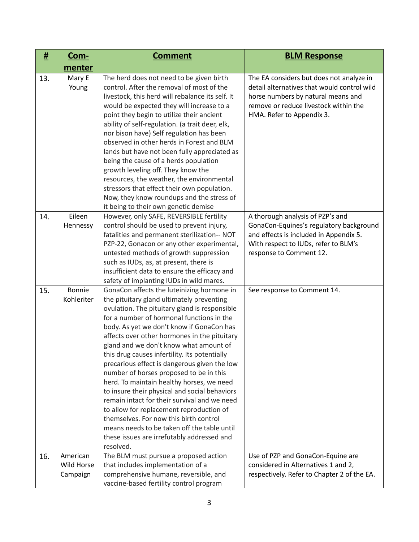| <u>#</u> | <u>Com-</u>                        | <b>Comment</b>                                                                                                                                                                                                                                                                                                                                                                                                                                                                                                                                                                                                                                                                                                                                                                                                         | <b>BLM Response</b>                                                                                                                                                                                 |
|----------|------------------------------------|------------------------------------------------------------------------------------------------------------------------------------------------------------------------------------------------------------------------------------------------------------------------------------------------------------------------------------------------------------------------------------------------------------------------------------------------------------------------------------------------------------------------------------------------------------------------------------------------------------------------------------------------------------------------------------------------------------------------------------------------------------------------------------------------------------------------|-----------------------------------------------------------------------------------------------------------------------------------------------------------------------------------------------------|
|          | menter                             |                                                                                                                                                                                                                                                                                                                                                                                                                                                                                                                                                                                                                                                                                                                                                                                                                        |                                                                                                                                                                                                     |
| 13.      | Mary E<br>Young                    | The herd does not need to be given birth<br>control. After the removal of most of the<br>livestock, this herd will rebalance its self. It<br>would be expected they will increase to a<br>point they begin to utilize their ancient<br>ability of self-regulation. (a trait deer, elk,<br>nor bison have) Self regulation has been<br>observed in other herds in Forest and BLM<br>lands but have not been fully appreciated as<br>being the cause of a herds population<br>growth leveling off. They know the<br>resources, the weather, the environmental<br>stressors that effect their own population.<br>Now, they know roundups and the stress of<br>it being to their own genetic demise                                                                                                                        | The EA considers but does not analyze in<br>detail alternatives that would control wild<br>horse numbers by natural means and<br>remove or reduce livestock within the<br>HMA. Refer to Appendix 3. |
| 14.      | Eileen<br>Hennessy                 | However, only SAFE, REVERSIBLE fertility<br>control should be used to prevent injury,<br>fatalities and permanent sterilization-- NOT<br>PZP-22, Gonacon or any other experimental,<br>untested methods of growth suppression<br>such as IUDs, as, at present, there is<br>insufficient data to ensure the efficacy and<br>safety of implanting IUDs in wild mares.                                                                                                                                                                                                                                                                                                                                                                                                                                                    | A thorough analysis of PZP's and<br>GonaCon-Equines's regulatory background<br>and effects is included in Appendix 5.<br>With respect to IUDs, refer to BLM's<br>response to Comment 12.            |
| 15.      | Bonnie<br>Kohleriter               | GonaCon affects the luteinizing hormone in<br>the pituitary gland ultimately preventing<br>ovulation. The pituitary gland is responsible<br>for a number of hormonal functions in the<br>body. As yet we don't know if GonaCon has<br>affects over other hormones in the pituitary<br>gland and we don't know what amount of<br>this drug causes infertility. Its potentially<br>precarious effect is dangerous given the low<br>number of horses proposed to be in this<br>herd. To maintain healthy horses, we need<br>to insure their physical and social behaviors<br>remain intact for their survival and we need<br>to allow for replacement reproduction of<br>themselves. For now this birth control<br>means needs to be taken off the table until<br>these issues are irrefutably addressed and<br>resolved. | See response to Comment 14.                                                                                                                                                                         |
| 16.      | American<br>Wild Horse<br>Campaign | The BLM must pursue a proposed action<br>that includes implementation of a<br>comprehensive humane, reversible, and<br>vaccine-based fertility control program                                                                                                                                                                                                                                                                                                                                                                                                                                                                                                                                                                                                                                                         | Use of PZP and GonaCon-Equine are<br>considered in Alternatives 1 and 2,<br>respectively. Refer to Chapter 2 of the EA.                                                                             |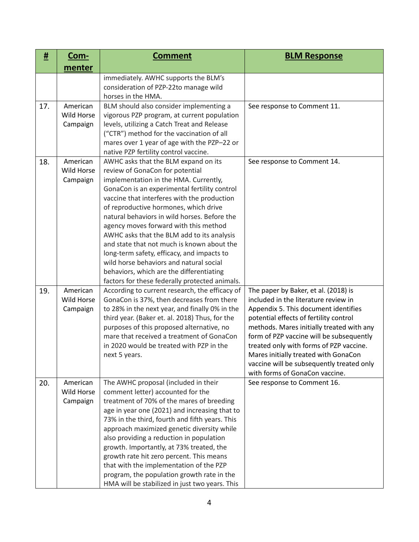| #   | <u>Com-</u>                        | <b>Comment</b>                                                                                                                                                                                                                                                                                                                                                                                                                                                                                                                                                                                                                       | <b>BLM Response</b>                                                                                                                                                                                                                                                                                                                                                                                                       |
|-----|------------------------------------|--------------------------------------------------------------------------------------------------------------------------------------------------------------------------------------------------------------------------------------------------------------------------------------------------------------------------------------------------------------------------------------------------------------------------------------------------------------------------------------------------------------------------------------------------------------------------------------------------------------------------------------|---------------------------------------------------------------------------------------------------------------------------------------------------------------------------------------------------------------------------------------------------------------------------------------------------------------------------------------------------------------------------------------------------------------------------|
|     | menter                             |                                                                                                                                                                                                                                                                                                                                                                                                                                                                                                                                                                                                                                      |                                                                                                                                                                                                                                                                                                                                                                                                                           |
|     |                                    | immediately. AWHC supports the BLM's<br>consideration of PZP-22to manage wild<br>horses in the HMA.                                                                                                                                                                                                                                                                                                                                                                                                                                                                                                                                  |                                                                                                                                                                                                                                                                                                                                                                                                                           |
| 17. | American<br>Wild Horse<br>Campaign | BLM should also consider implementing a<br>vigorous PZP program, at current population<br>levels, utilizing a Catch Treat and Release<br>("CTR") method for the vaccination of all<br>mares over 1 year of age with the PZP-22 or<br>native PZP fertility control vaccine.                                                                                                                                                                                                                                                                                                                                                           | See response to Comment 11.                                                                                                                                                                                                                                                                                                                                                                                               |
| 18. | American<br>Wild Horse<br>Campaign | AWHC asks that the BLM expand on its<br>review of GonaCon for potential<br>implementation in the HMA. Currently,<br>GonaCon is an experimental fertility control<br>vaccine that interferes with the production<br>of reproductive hormones, which drive<br>natural behaviors in wild horses. Before the<br>agency moves forward with this method<br>AWHC asks that the BLM add to its analysis<br>and state that not much is known about the<br>long-term safety, efficacy, and impacts to<br>wild horse behaviors and natural social<br>behaviors, which are the differentiating<br>factors for these federally protected animals. | See response to Comment 14.                                                                                                                                                                                                                                                                                                                                                                                               |
| 19. | American<br>Wild Horse<br>Campaign | According to current research, the efficacy of<br>GonaCon is 37%, then decreases from there<br>to 28% in the next year, and finally 0% in the<br>third year. (Baker et. al. 2018) Thus, for the<br>purposes of this proposed alternative, no<br>mare that received a treatment of GonaCon<br>in 2020 would be treated with PZP in the<br>next 5 years.                                                                                                                                                                                                                                                                               | The paper by Baker, et al. (2018) is<br>included in the literature review in<br>Appendix 5. This document identifies<br>potential effects of fertility control<br>methods. Mares initially treated with any<br>form of PZP vaccine will be subsequently<br>treated only with forms of PZP vaccine.<br>Mares initially treated with GonaCon<br>vaccine will be subsequently treated only<br>with forms of GonaCon vaccine. |
| 20. | American<br>Wild Horse<br>Campaign | The AWHC proposal (included in their<br>comment letter) accounted for the<br>treatment of 70% of the mares of breeding<br>age in year one (2021) and increasing that to<br>73% in the third, fourth and fifth years. This<br>approach maximized genetic diversity while<br>also providing a reduction in population<br>growth. Importantly, at 73% treated, the<br>growth rate hit zero percent. This means<br>that with the implementation of the PZP<br>program, the population growth rate in the<br>HMA will be stabilized in just two years. This                                                                               | See response to Comment 16.                                                                                                                                                                                                                                                                                                                                                                                               |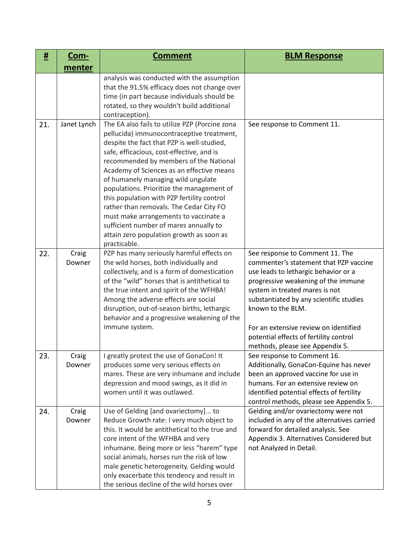| #   | <u>Com-</u>     | <b>Comment</b>                                                                                                                                                                                                                                                                                                                                                                                                                                                                                                                                                                                           | <b>BLM Response</b>                                                                                                                                                                                                                                                                                                                                                              |
|-----|-----------------|----------------------------------------------------------------------------------------------------------------------------------------------------------------------------------------------------------------------------------------------------------------------------------------------------------------------------------------------------------------------------------------------------------------------------------------------------------------------------------------------------------------------------------------------------------------------------------------------------------|----------------------------------------------------------------------------------------------------------------------------------------------------------------------------------------------------------------------------------------------------------------------------------------------------------------------------------------------------------------------------------|
|     | menter          |                                                                                                                                                                                                                                                                                                                                                                                                                                                                                                                                                                                                          |                                                                                                                                                                                                                                                                                                                                                                                  |
|     |                 | analysis was conducted with the assumption<br>that the 91.5% efficacy does not change over<br>time (in part because individuals should be<br>rotated, so they wouldn't build additional<br>contraception).                                                                                                                                                                                                                                                                                                                                                                                               |                                                                                                                                                                                                                                                                                                                                                                                  |
| 21. | Janet Lynch     | The EA also fails to utilize PZP (Porcine zona<br>pellucida) immunocontraceptive treatment,<br>despite the fact that PZP is well-studied,<br>safe, efficacious, cost-effective, and is<br>recommended by members of the National<br>Academy of Sciences as an effective means<br>of humanely managing wild ungulate<br>populations. Prioritize the management of<br>this population with PZP fertility control<br>rather than removals. The Cedar City FO<br>must make arrangements to vaccinate a<br>sufficient number of mares annually to<br>attain zero population growth as soon as<br>practicable. | See response to Comment 11.                                                                                                                                                                                                                                                                                                                                                      |
| 22. | Craig<br>Downer | PZP has many seriously harmful effects on<br>the wild horses, both individually and<br>collectively, and is a form of domestication<br>of the "wild" horses that is antithetical to<br>the true intent and spirit of the WFHBA!<br>Among the adverse effects are social<br>disruption, out-of-season births, lethargic<br>behavior and a progressive weakening of the<br>immune system.                                                                                                                                                                                                                  | See response to Comment 11. The<br>commenter's statement that PZP vaccine<br>use leads to lethargic behavior or a<br>progressive weakening of the immune<br>system in treated mares is not<br>substantiated by any scientific studies<br>known to the BLM.<br>For an extensive review on identified<br>potential effects of fertility control<br>methods, please see Appendix 5. |
| 23. | Craig<br>Downer | I greatly protest the use of GonaCon! It<br>produces some very serious effects on<br>mares. These are very inhumane and include<br>depression and mood swings, as it did in<br>women until it was outlawed.                                                                                                                                                                                                                                                                                                                                                                                              | See response to Comment 16.<br>Additionally, GonaCon-Equine has never<br>been an approved vaccine for use in<br>humans. For an extensive review on<br>identified potential effects of fertility<br>control methods, please see Appendix 5.                                                                                                                                       |
| 24. | Craig<br>Downer | Use of Gelding [and ovariectomy] to<br>Reduce Growth rate: I very much object to<br>this. It would be antithetical to the true and<br>core intent of the WFHBA and very<br>inhumane. Being more or less "harem" type<br>social animals, horses run the risk of low<br>male genetic heterogeneity. Gelding would<br>only exacerbate this tendency and result in<br>the serious decline of the wild horses over                                                                                                                                                                                            | Gelding and/or ovariectomy were not<br>included in any of the alternatives carried<br>forward for detailed analysis. See<br>Appendix 3. Alternatives Considered but<br>not Analyzed in Detail.                                                                                                                                                                                   |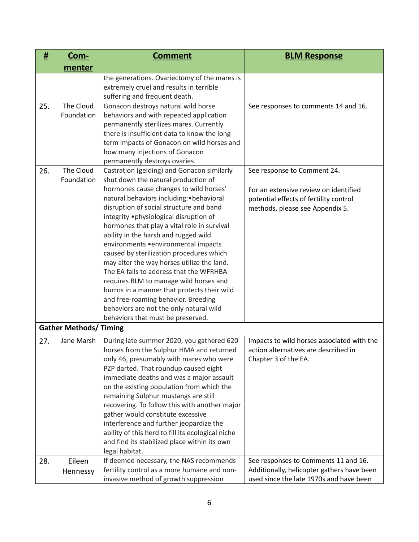| #   | Com-                          | <b>Comment</b>                                                                                                                                                                                                                                                                                                                                                                                                                                                                                                                                                                                                                                                                                                                                    | <b>BLM Response</b>                                                                                                                               |
|-----|-------------------------------|---------------------------------------------------------------------------------------------------------------------------------------------------------------------------------------------------------------------------------------------------------------------------------------------------------------------------------------------------------------------------------------------------------------------------------------------------------------------------------------------------------------------------------------------------------------------------------------------------------------------------------------------------------------------------------------------------------------------------------------------------|---------------------------------------------------------------------------------------------------------------------------------------------------|
|     | menter                        |                                                                                                                                                                                                                                                                                                                                                                                                                                                                                                                                                                                                                                                                                                                                                   |                                                                                                                                                   |
|     |                               | the generations. Ovariectomy of the mares is<br>extremely cruel and results in terrible<br>suffering and frequent death.                                                                                                                                                                                                                                                                                                                                                                                                                                                                                                                                                                                                                          |                                                                                                                                                   |
| 25. | The Cloud<br>Foundation       | Gonacon destroys natural wild horse<br>behaviors and with repeated application<br>permanently sterilizes mares. Currently<br>there is insufficient data to know the long-<br>term impacts of Gonacon on wild horses and<br>how many injections of Gonacon<br>permanently destroys ovaries.                                                                                                                                                                                                                                                                                                                                                                                                                                                        | See responses to comments 14 and 16.                                                                                                              |
| 26. | The Cloud<br>Foundation       | Castration (gelding) and Gonacon similarly<br>shut down the natural production of<br>hormones cause changes to wild horses'<br>natural behaviors including: • behavioral<br>disruption of social structure and band<br>integrity .physiological disruption of<br>hormones that play a vital role in survival<br>ability in the harsh and rugged wild<br>environments • environmental impacts<br>caused by sterilization procedures which<br>may alter the way horses utilize the land.<br>The EA fails to address that the WFRHBA<br>requires BLM to manage wild horses and<br>burros in a manner that protects their wild<br>and free-roaming behavior. Breeding<br>behaviors are not the only natural wild<br>behaviors that must be preserved. | See response to Comment 24.<br>For an extensive review on identified<br>potential effects of fertility control<br>methods, please see Appendix 5. |
|     | <b>Gather Methods/ Timing</b> |                                                                                                                                                                                                                                                                                                                                                                                                                                                                                                                                                                                                                                                                                                                                                   |                                                                                                                                                   |
| 27. | Jane Marsh                    | During late summer 2020, you gathered 620<br>horses from the Sulphur HMA and returned<br>only 46, presumably with mares who were<br>PZP darted. That roundup caused eight<br>immediate deaths and was a major assault<br>on the existing population from which the<br>remaining Sulphur mustangs are still<br>recovering. To follow this with another major<br>gather would constitute excessive<br>interference and further jeopardize the<br>ability of this herd to fill its ecological niche<br>and find its stabilized place within its own<br>legal habitat.                                                                                                                                                                                | Impacts to wild horses associated with the<br>action alternatives are described in<br>Chapter 3 of the EA.                                        |
| 28. | Eileen<br>Hennessy            | If deemed necessary, the NAS recommends<br>fertility control as a more humane and non-<br>invasive method of growth suppression                                                                                                                                                                                                                                                                                                                                                                                                                                                                                                                                                                                                                   | See responses to Comments 11 and 16.<br>Additionally, helicopter gathers have been<br>used since the late 1970s and have been                     |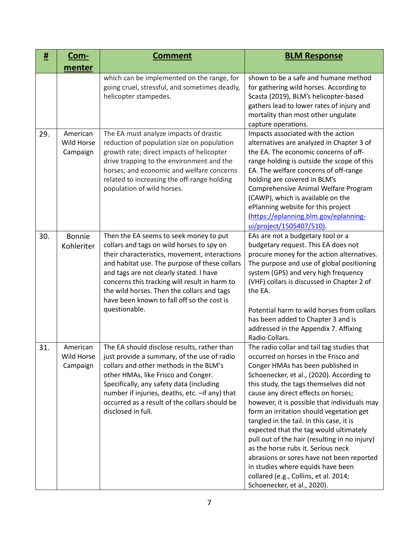| #   | <u>Com-</u>                               | <b>Comment</b>                                                                                                                                                                                                                                                                                                                                                                                 | <b>BLM Response</b>                                                                                                                                                                                                                                                                                                                                                                                                                                                                                                                                                                                                                                                                       |
|-----|-------------------------------------------|------------------------------------------------------------------------------------------------------------------------------------------------------------------------------------------------------------------------------------------------------------------------------------------------------------------------------------------------------------------------------------------------|-------------------------------------------------------------------------------------------------------------------------------------------------------------------------------------------------------------------------------------------------------------------------------------------------------------------------------------------------------------------------------------------------------------------------------------------------------------------------------------------------------------------------------------------------------------------------------------------------------------------------------------------------------------------------------------------|
|     | menter                                    |                                                                                                                                                                                                                                                                                                                                                                                                |                                                                                                                                                                                                                                                                                                                                                                                                                                                                                                                                                                                                                                                                                           |
|     |                                           | which can be implemented on the range, for<br>going cruel, stressful, and sometimes deadly,<br>helicopter stampedes.                                                                                                                                                                                                                                                                           | shown to be a safe and humane method<br>for gathering wild horses. According to<br>Scasta (2019), BLM's helicopter-based<br>gathers lead to lower rates of injury and<br>mortality than most other ungulate<br>capture operations.                                                                                                                                                                                                                                                                                                                                                                                                                                                        |
| 29. | American<br><b>Wild Horse</b><br>Campaign | The EA must analyze impacts of drastic<br>reduction of population size on population<br>growth rate; direct impacts of helicopter<br>drive trapping to the environment and the<br>horses; and economic and welfare concerns<br>related to increasing the off-range holding<br>population of wild horses.                                                                                       | Impacts associated with the action<br>alternatives are analyzed in Chapter 3 of<br>the EA. The economic concerns of off-<br>range holding is outside the scope of this<br>EA. The welfare concerns of off-range<br>holding are covered in BLM's<br>Comprehensive Animal Welfare Program<br>(CAWP), which is available on the<br>ePlanning website for this project<br>(https://eplanning.blm.gov/eplanning-<br>ui/project/1505407/510).                                                                                                                                                                                                                                                   |
| 30. | <b>Bonnie</b><br>Kohleriter               | Then the EA seems to seek money to put<br>collars and tags on wild horses to spy on<br>their characteristics, movement, interactions<br>and habitat use. The purpose of these collars<br>and tags are not clearly stated. I have<br>concerns this tracking will result in harm to<br>the wild horses. Then the collars and tags<br>have been known to fall off so the cost is<br>questionable. | EAs are not a budgetary tool or a<br>budgetary request. This EA does not<br>procure money for the action alternatives.<br>The purpose and use of global positioning<br>system (GPS) and very high frequency<br>(VHF) collars is discussed in Chapter 2 of<br>the EA.<br>Potential harm to wild horses from collars<br>has been added to Chapter 3 and is<br>addressed in the Appendix 7. Affixing<br>Radio Collars.                                                                                                                                                                                                                                                                       |
| 31. | American<br>Wild Horse<br>Campaign        | The EA should disclose results, rather than<br>just provide a summary, of the use of radio<br>collars and other methods in the BLM's<br>other HMAs, like Frisco and Conger.<br>Specifically, any safety data (including<br>number if injuries, deaths, etc. - if any) that<br>occurred as a result of the collars should be<br>disclosed in full.                                              | The radio collar and tail tag studies that<br>occurred on horses in the Frisco and<br>Conger HMAs has been published in<br>Schoenecker, et al., (2020). According to<br>this study, the tags themselves did not<br>cause any direct effects on horses;<br>however, it is possible that individuals may<br>form an irritation should vegetation get<br>tangled in the tail. In this case, it is<br>expected that the tag would ultimately<br>pull out of the hair (resulting in no injury)<br>as the horse rubs it. Serious neck<br>abrasions or sores have not been reported<br>in studies where equids have been<br>collared (e.g., Collins, et al. 2014;<br>Schoenecker, et al., 2020). |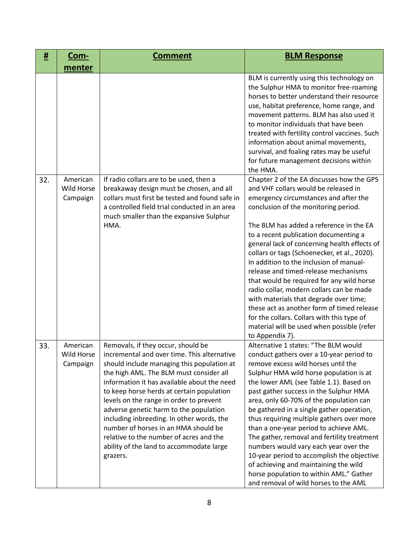| #   | <u>Com-</u>                               | <b>Comment</b>                                                                                                                                                                                                                                                                                                                                                                                                                                                                                                                                      | <b>BLM Response</b>                                                                                                                                                                                                                                                                                                                                                                                                                                                                                                                                                                                                                                                                                                                       |
|-----|-------------------------------------------|-----------------------------------------------------------------------------------------------------------------------------------------------------------------------------------------------------------------------------------------------------------------------------------------------------------------------------------------------------------------------------------------------------------------------------------------------------------------------------------------------------------------------------------------------------|-------------------------------------------------------------------------------------------------------------------------------------------------------------------------------------------------------------------------------------------------------------------------------------------------------------------------------------------------------------------------------------------------------------------------------------------------------------------------------------------------------------------------------------------------------------------------------------------------------------------------------------------------------------------------------------------------------------------------------------------|
|     | menter                                    |                                                                                                                                                                                                                                                                                                                                                                                                                                                                                                                                                     |                                                                                                                                                                                                                                                                                                                                                                                                                                                                                                                                                                                                                                                                                                                                           |
|     |                                           |                                                                                                                                                                                                                                                                                                                                                                                                                                                                                                                                                     | BLM is currently using this technology on<br>the Sulphur HMA to monitor free-roaming<br>horses to better understand their resource<br>use, habitat preference, home range, and<br>movement patterns. BLM has also used it<br>to monitor individuals that have been<br>treated with fertility control vaccines. Such<br>information about animal movements,<br>survival, and foaling rates may be useful<br>for future management decisions within<br>the HMA.                                                                                                                                                                                                                                                                             |
| 32. | American<br><b>Wild Horse</b><br>Campaign | If radio collars are to be used, then a<br>breakaway design must be chosen, and all<br>collars must first be tested and found safe in<br>a controlled field trial conducted in an area<br>much smaller than the expansive Sulphur<br>HMA.                                                                                                                                                                                                                                                                                                           | Chapter 2 of the EA discusses how the GPS<br>and VHF collars would be released in<br>emergency circumstances and after the<br>conclusion of the monitoring period.<br>The BLM has added a reference in the EA<br>to a recent publication documenting a<br>general lack of concerning health effects of<br>collars or tags (Schoenecker, et al., 2020).<br>In addition to the inclusion of manual-<br>release and timed-release mechanisms<br>that would be required for any wild horse<br>radio collar, modern collars can be made<br>with materials that degrade over time;<br>these act as another form of timed release<br>for the collars. Collars with this type of<br>material will be used when possible (refer<br>to Appendix 7). |
| 33. | American<br>Wild Horse<br>Campaign        | Removals, if they occur, should be<br>incremental and over time. This alternative<br>should include managing this population at<br>the high AML. The BLM must consider all<br>information it has available about the need<br>to keep horse herds at certain population<br>levels on the range in order to prevent<br>adverse genetic harm to the population<br>including inbreeding. In other words, the<br>number of horses in an HMA should be<br>relative to the number of acres and the<br>ability of the land to accommodate large<br>grazers. | Alternative 1 states: "The BLM would<br>conduct gathers over a 10-year period to<br>remove excess wild horses until the<br>Sulphur HMA wild horse population is at<br>the lower AML (see Table 1.1). Based on<br>past gather success in the Sulphur HMA<br>area, only 60-70% of the population can<br>be gathered in a single gather operation,<br>thus requiring multiple gathers over more<br>than a one-year period to achieve AML.<br>The gather, removal and fertility treatment<br>numbers would vary each year over the<br>10-year period to accomplish the objective<br>of achieving and maintaining the wild<br>horse population to within AML." Gather<br>and removal of wild horses to the AML                                 |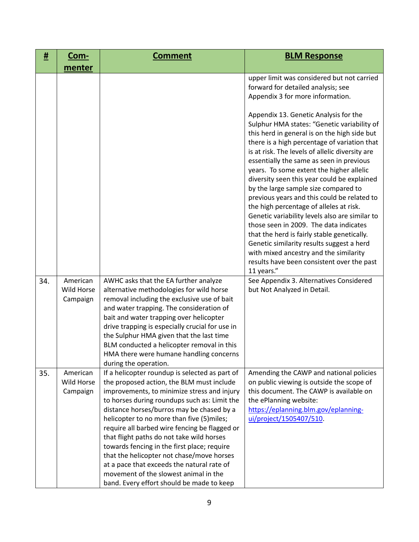| #   | <u>Com-</u>                        | <b>Comment</b>                                                                                                                                                                                                                                                                                                                                                                                                                                                                                                                                                                                                     | <b>BLM Response</b>                                                                                                                                                                                                                                                                                                                                                                                                                                                                                                                                                                                                                                                                                                                                                                                            |
|-----|------------------------------------|--------------------------------------------------------------------------------------------------------------------------------------------------------------------------------------------------------------------------------------------------------------------------------------------------------------------------------------------------------------------------------------------------------------------------------------------------------------------------------------------------------------------------------------------------------------------------------------------------------------------|----------------------------------------------------------------------------------------------------------------------------------------------------------------------------------------------------------------------------------------------------------------------------------------------------------------------------------------------------------------------------------------------------------------------------------------------------------------------------------------------------------------------------------------------------------------------------------------------------------------------------------------------------------------------------------------------------------------------------------------------------------------------------------------------------------------|
|     | menter                             |                                                                                                                                                                                                                                                                                                                                                                                                                                                                                                                                                                                                                    |                                                                                                                                                                                                                                                                                                                                                                                                                                                                                                                                                                                                                                                                                                                                                                                                                |
|     |                                    |                                                                                                                                                                                                                                                                                                                                                                                                                                                                                                                                                                                                                    | upper limit was considered but not carried<br>forward for detailed analysis; see<br>Appendix 3 for more information.                                                                                                                                                                                                                                                                                                                                                                                                                                                                                                                                                                                                                                                                                           |
|     |                                    |                                                                                                                                                                                                                                                                                                                                                                                                                                                                                                                                                                                                                    | Appendix 13. Genetic Analysis for the<br>Sulphur HMA states: "Genetic variability of<br>this herd in general is on the high side but<br>there is a high percentage of variation that<br>is at risk. The levels of allelic diversity are<br>essentially the same as seen in previous<br>years. To some extent the higher allelic<br>diversity seen this year could be explained<br>by the large sample size compared to<br>previous years and this could be related to<br>the high percentage of alleles at risk.<br>Genetic variability levels also are similar to<br>those seen in 2009. The data indicates<br>that the herd is fairly stable genetically.<br>Genetic similarity results suggest a herd<br>with mixed ancestry and the similarity<br>results have been consistent over the past<br>11 years." |
| 34. | American<br>Wild Horse<br>Campaign | AWHC asks that the EA further analyze<br>alternative methodologies for wild horse<br>removal including the exclusive use of bait<br>and water trapping. The consideration of<br>bait and water trapping over helicopter<br>drive trapping is especially crucial for use in<br>the Sulphur HMA given that the last time<br>BLM conducted a helicopter removal in this<br>HMA there were humane handling concerns<br>during the operation.                                                                                                                                                                           | See Appendix 3. Alternatives Considered<br>but Not Analyzed in Detail.                                                                                                                                                                                                                                                                                                                                                                                                                                                                                                                                                                                                                                                                                                                                         |
| 35. | American<br>Wild Horse<br>Campaign | If a helicopter roundup is selected as part of<br>the proposed action, the BLM must include<br>improvements, to minimize stress and injury<br>to horses during roundups such as: Limit the<br>distance horses/burros may be chased by a<br>helicopter to no more than five (5)miles;<br>require all barbed wire fencing be flagged or<br>that flight paths do not take wild horses<br>towards fencing in the first place; require<br>that the helicopter not chase/move horses<br>at a pace that exceeds the natural rate of<br>movement of the slowest animal in the<br>band. Every effort should be made to keep | Amending the CAWP and national policies<br>on public viewing is outside the scope of<br>this document. The CAWP is available on<br>the ePlanning website:<br>https://eplanning.blm.gov/eplanning-<br>ui/project/1505407/510.                                                                                                                                                                                                                                                                                                                                                                                                                                                                                                                                                                                   |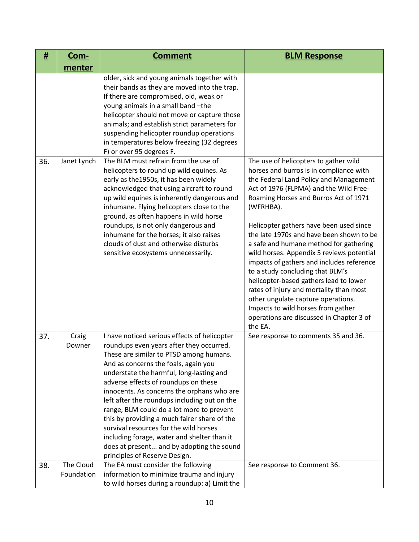| #   | <u>Com-</u>             | <b>Comment</b>                                                                                                                                                                                                                                                                                                                                                                                                                                                                                                                                                                                                                    | <b>BLM Response</b>                                                                                                                                                                                                                                                                                                                                                                                                                                                                                                                                                                                                                                                                                               |
|-----|-------------------------|-----------------------------------------------------------------------------------------------------------------------------------------------------------------------------------------------------------------------------------------------------------------------------------------------------------------------------------------------------------------------------------------------------------------------------------------------------------------------------------------------------------------------------------------------------------------------------------------------------------------------------------|-------------------------------------------------------------------------------------------------------------------------------------------------------------------------------------------------------------------------------------------------------------------------------------------------------------------------------------------------------------------------------------------------------------------------------------------------------------------------------------------------------------------------------------------------------------------------------------------------------------------------------------------------------------------------------------------------------------------|
|     | menter                  |                                                                                                                                                                                                                                                                                                                                                                                                                                                                                                                                                                                                                                   |                                                                                                                                                                                                                                                                                                                                                                                                                                                                                                                                                                                                                                                                                                                   |
|     |                         | older, sick and young animals together with<br>their bands as they are moved into the trap.<br>If there are compromised, old, weak or<br>young animals in a small band -the<br>helicopter should not move or capture those<br>animals; and establish strict parameters for<br>suspending helicopter roundup operations<br>in temperatures below freezing (32 degrees<br>F) or over 95 degrees F.                                                                                                                                                                                                                                  |                                                                                                                                                                                                                                                                                                                                                                                                                                                                                                                                                                                                                                                                                                                   |
| 36. | Janet Lynch             | The BLM must refrain from the use of<br>helicopters to round up wild equines. As<br>early as the 1950s, it has been widely<br>acknowledged that using aircraft to round<br>up wild equines is inherently dangerous and<br>inhumane. Flying helicopters close to the<br>ground, as often happens in wild horse<br>roundups, is not only dangerous and<br>inhumane for the horses; it also raises<br>clouds of dust and otherwise disturbs<br>sensitive ecosystems unnecessarily.                                                                                                                                                   | The use of helicopters to gather wild<br>horses and burros is in compliance with<br>the Federal Land Policy and Management<br>Act of 1976 (FLPMA) and the Wild Free-<br>Roaming Horses and Burros Act of 1971<br>(WFRHBA).<br>Helicopter gathers have been used since<br>the late 1970s and have been shown to be<br>a safe and humane method for gathering<br>wild horses. Appendix 5 reviews potential<br>impacts of gathers and includes reference<br>to a study concluding that BLM's<br>helicopter-based gathers lead to lower<br>rates of injury and mortality than most<br>other ungulate capture operations.<br>Impacts to wild horses from gather<br>operations are discussed in Chapter 3 of<br>the EA. |
| 37. | Craig<br>Downer         | I have noticed serious effects of helicopter<br>roundups even years after they occurred.<br>These are similar to PTSD among humans.<br>And as concerns the foals, again you<br>understate the harmful, long-lasting and<br>adverse effects of roundups on these<br>innocents. As concerns the orphans who are<br>left after the roundups including out on the<br>range, BLM could do a lot more to prevent<br>this by providing a much fairer share of the<br>survival resources for the wild horses<br>including forage, water and shelter than it<br>does at present and by adopting the sound<br>principles of Reserve Design. | See response to comments 35 and 36.                                                                                                                                                                                                                                                                                                                                                                                                                                                                                                                                                                                                                                                                               |
| 38. | The Cloud<br>Foundation | The EA must consider the following<br>information to minimize trauma and injury<br>to wild horses during a roundup: a) Limit the                                                                                                                                                                                                                                                                                                                                                                                                                                                                                                  | See response to Comment 36.                                                                                                                                                                                                                                                                                                                                                                                                                                                                                                                                                                                                                                                                                       |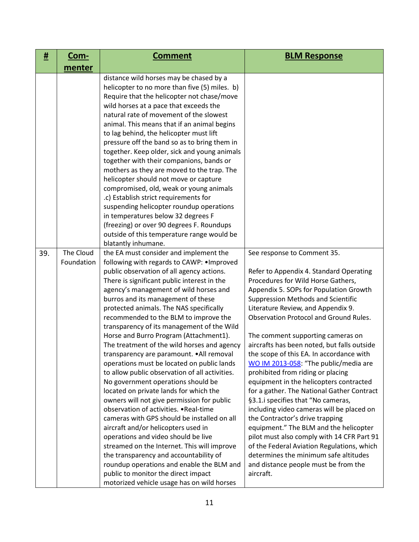| #   | <u>Com-</u>             | <b>Comment</b>                                                                                                                                                                                                                                                                                                                                                                                                                                                                                                                                                                                                                                                                                                                                                                                                                                                                                                                                                                                                                                                                                                                                                                                  | <b>BLM Response</b>                                                                                                                                                                                                                                                                                                                                                                                                                                                                                                                                                                                                                                                                                                                                                                                                                                                                                                                                         |
|-----|-------------------------|-------------------------------------------------------------------------------------------------------------------------------------------------------------------------------------------------------------------------------------------------------------------------------------------------------------------------------------------------------------------------------------------------------------------------------------------------------------------------------------------------------------------------------------------------------------------------------------------------------------------------------------------------------------------------------------------------------------------------------------------------------------------------------------------------------------------------------------------------------------------------------------------------------------------------------------------------------------------------------------------------------------------------------------------------------------------------------------------------------------------------------------------------------------------------------------------------|-------------------------------------------------------------------------------------------------------------------------------------------------------------------------------------------------------------------------------------------------------------------------------------------------------------------------------------------------------------------------------------------------------------------------------------------------------------------------------------------------------------------------------------------------------------------------------------------------------------------------------------------------------------------------------------------------------------------------------------------------------------------------------------------------------------------------------------------------------------------------------------------------------------------------------------------------------------|
|     | menter                  |                                                                                                                                                                                                                                                                                                                                                                                                                                                                                                                                                                                                                                                                                                                                                                                                                                                                                                                                                                                                                                                                                                                                                                                                 |                                                                                                                                                                                                                                                                                                                                                                                                                                                                                                                                                                                                                                                                                                                                                                                                                                                                                                                                                             |
|     |                         | distance wild horses may be chased by a<br>helicopter to no more than five (5) miles. b)<br>Require that the helicopter not chase/move<br>wild horses at a pace that exceeds the<br>natural rate of movement of the slowest<br>animal. This means that if an animal begins<br>to lag behind, the helicopter must lift<br>pressure off the band so as to bring them in<br>together. Keep older, sick and young animals<br>together with their companions, bands or<br>mothers as they are moved to the trap. The<br>helicopter should not move or capture<br>compromised, old, weak or young animals<br>.c) Establish strict requirements for<br>suspending helicopter roundup operations<br>in temperatures below 32 degrees F<br>(freezing) or over 90 degrees F. Roundups<br>outside of this temperature range would be                                                                                                                                                                                                                                                                                                                                                                       |                                                                                                                                                                                                                                                                                                                                                                                                                                                                                                                                                                                                                                                                                                                                                                                                                                                                                                                                                             |
| 39. | The Cloud<br>Foundation | blatantly inhumane.<br>the EA must consider and implement the<br>following with regards to CAWP: . Improved<br>public observation of all agency actions.<br>There is significant public interest in the<br>agency's management of wild horses and<br>burros and its management of these<br>protected animals. The NAS specifically<br>recommended to the BLM to improve the<br>transparency of its management of the Wild<br>Horse and Burro Program (Attachment1).<br>The treatment of the wild horses and agency<br>transparency are paramount. . All removal<br>operations must be located on public lands<br>to allow public observation of all activities.<br>No government operations should be<br>located on private lands for which the<br>owners will not give permission for public<br>observation of activities. . Real-time<br>cameras with GPS should be installed on all<br>aircraft and/or helicopters used in<br>operations and video should be live<br>streamed on the Internet. This will improve<br>the transparency and accountability of<br>roundup operations and enable the BLM and<br>public to monitor the direct impact<br>motorized vehicle usage has on wild horses | See response to Comment 35.<br>Refer to Appendix 4. Standard Operating<br>Procedures for Wild Horse Gathers,<br>Appendix 5. SOPs for Population Growth<br><b>Suppression Methods and Scientific</b><br>Literature Review, and Appendix 9.<br><b>Observation Protocol and Ground Rules.</b><br>The comment supporting cameras on<br>aircrafts has been noted, but falls outside<br>the scope of this EA. In accordance with<br>WO IM 2013-058: "The public/media are<br>prohibited from riding or placing<br>equipment in the helicopters contracted<br>for a gather. The National Gather Contract<br>§3.1.i specifies that "No cameras,<br>including video cameras will be placed on<br>the Contractor's drive trapping<br>equipment." The BLM and the helicopter<br>pilot must also comply with 14 CFR Part 91<br>of the Federal Aviation Regulations, which<br>determines the minimum safe altitudes<br>and distance people must be from the<br>aircraft. |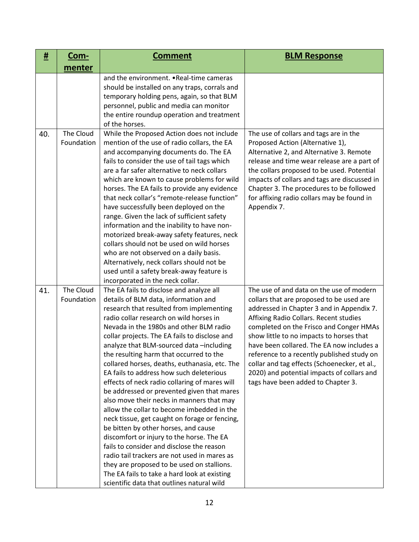| #   | <u>Com-</u>             | <b>Comment</b>                                                                                                                                                                                                                                                                                                                                                                                                                                                                                                                                                                                                                                                                                                                                                                                                                                                                                                                                                                                                                  | <b>BLM Response</b>                                                                                                                                                                                                                                                                                                                                                                                                                                                                               |
|-----|-------------------------|---------------------------------------------------------------------------------------------------------------------------------------------------------------------------------------------------------------------------------------------------------------------------------------------------------------------------------------------------------------------------------------------------------------------------------------------------------------------------------------------------------------------------------------------------------------------------------------------------------------------------------------------------------------------------------------------------------------------------------------------------------------------------------------------------------------------------------------------------------------------------------------------------------------------------------------------------------------------------------------------------------------------------------|---------------------------------------------------------------------------------------------------------------------------------------------------------------------------------------------------------------------------------------------------------------------------------------------------------------------------------------------------------------------------------------------------------------------------------------------------------------------------------------------------|
|     | menter                  |                                                                                                                                                                                                                                                                                                                                                                                                                                                                                                                                                                                                                                                                                                                                                                                                                                                                                                                                                                                                                                 |                                                                                                                                                                                                                                                                                                                                                                                                                                                                                                   |
|     |                         | and the environment. . Real-time cameras<br>should be installed on any traps, corrals and<br>temporary holding pens, again, so that BLM<br>personnel, public and media can monitor<br>the entire roundup operation and treatment<br>of the horses.                                                                                                                                                                                                                                                                                                                                                                                                                                                                                                                                                                                                                                                                                                                                                                              |                                                                                                                                                                                                                                                                                                                                                                                                                                                                                                   |
| 40. | The Cloud<br>Foundation | While the Proposed Action does not include<br>mention of the use of radio collars, the EA<br>and accompanying documents do. The EA<br>fails to consider the use of tail tags which<br>are a far safer alternative to neck collars<br>which are known to cause problems for wild<br>horses. The EA fails to provide any evidence<br>that neck collar's "remote-release function"<br>have successfully been deployed on the<br>range. Given the lack of sufficient safety<br>information and the inability to have non-<br>motorized break-away safety features, neck<br>collars should not be used on wild horses<br>who are not observed on a daily basis.<br>Alternatively, neck collars should not be<br>used until a safety break-away feature is<br>incorporated in the neck collar.                                                                                                                                                                                                                                        | The use of collars and tags are in the<br>Proposed Action (Alternative 1),<br>Alternative 2, and Alternative 3. Remote<br>release and time wear release are a part of<br>the collars proposed to be used. Potential<br>impacts of collars and tags are discussed in<br>Chapter 3. The procedures to be followed<br>for affixing radio collars may be found in<br>Appendix 7.                                                                                                                      |
| 41. | The Cloud<br>Foundation | The EA fails to disclose and analyze all<br>details of BLM data, information and<br>research that resulted from implementing<br>radio collar research on wild horses in<br>Nevada in the 1980s and other BLM radio<br>collar projects. The EA fails to disclose and<br>analyze that BLM-sourced data-including<br>the resulting harm that occurred to the<br>collared horses, deaths, euthanasia, etc. The<br>EA fails to address how such deleterious<br>effects of neck radio collaring of mares will<br>be addressed or prevented given that mares<br>also move their necks in manners that may<br>allow the collar to become imbedded in the<br>neck tissue, get caught on forage or fencing,<br>be bitten by other horses, and cause<br>discomfort or injury to the horse. The EA<br>fails to consider and disclose the reason<br>radio tail trackers are not used in mares as<br>they are proposed to be used on stallions.<br>The EA fails to take a hard look at existing<br>scientific data that outlines natural wild | The use of and data on the use of modern<br>collars that are proposed to be used are<br>addressed in Chapter 3 and in Appendix 7.<br>Affixing Radio Collars. Recent studies<br>completed on the Frisco and Conger HMAs<br>show little to no impacts to horses that<br>have been collared. The EA now includes a<br>reference to a recently published study on<br>collar and tag effects (Schoenecker, et al.,<br>2020) and potential impacts of collars and<br>tags have been added to Chapter 3. |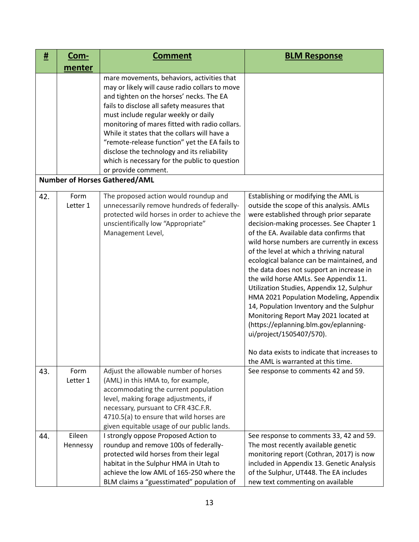| #   | <u>Com-</u>        | <b>Comment</b>                                                                                                                                                                                                                                                                                                                                                                                                                                                                                           | <b>BLM Response</b>                                                                                                                                                                                                                                                                                                                                                                                                                                                                                                                                                                                                                                                                                                                                                                   |
|-----|--------------------|----------------------------------------------------------------------------------------------------------------------------------------------------------------------------------------------------------------------------------------------------------------------------------------------------------------------------------------------------------------------------------------------------------------------------------------------------------------------------------------------------------|---------------------------------------------------------------------------------------------------------------------------------------------------------------------------------------------------------------------------------------------------------------------------------------------------------------------------------------------------------------------------------------------------------------------------------------------------------------------------------------------------------------------------------------------------------------------------------------------------------------------------------------------------------------------------------------------------------------------------------------------------------------------------------------|
|     | menter             |                                                                                                                                                                                                                                                                                                                                                                                                                                                                                                          |                                                                                                                                                                                                                                                                                                                                                                                                                                                                                                                                                                                                                                                                                                                                                                                       |
|     |                    | mare movements, behaviors, activities that<br>may or likely will cause radio collars to move<br>and tighten on the horses' necks. The EA<br>fails to disclose all safety measures that<br>must include regular weekly or daily<br>monitoring of mares fitted with radio collars.<br>While it states that the collars will have a<br>"remote-release function" yet the EA fails to<br>disclose the technology and its reliability<br>which is necessary for the public to question<br>or provide comment. |                                                                                                                                                                                                                                                                                                                                                                                                                                                                                                                                                                                                                                                                                                                                                                                       |
|     |                    | <b>Number of Horses Gathered/AML</b>                                                                                                                                                                                                                                                                                                                                                                                                                                                                     |                                                                                                                                                                                                                                                                                                                                                                                                                                                                                                                                                                                                                                                                                                                                                                                       |
| 42. | Form<br>Letter 1   | The proposed action would roundup and<br>unnecessarily remove hundreds of federally-<br>protected wild horses in order to achieve the<br>unscientifically low "Appropriate"<br>Management Level,                                                                                                                                                                                                                                                                                                         | Establishing or modifying the AML is<br>outside the scope of this analysis. AMLs<br>were established through prior separate<br>decision-making processes. See Chapter 1<br>of the EA. Available data confirms that<br>wild horse numbers are currently in excess<br>of the level at which a thriving natural<br>ecological balance can be maintained, and<br>the data does not support an increase in<br>the wild horse AMLs. See Appendix 11.<br>Utilization Studies, Appendix 12, Sulphur<br>HMA 2021 Population Modeling, Appendix<br>14, Population Inventory and the Sulphur<br>Monitoring Report May 2021 located at<br>(https://eplanning.blm.gov/eplanning-<br>ui/project/1505407/570).<br>No data exists to indicate that increases to<br>the AML is warranted at this time. |
| 43. | Form<br>Letter 1   | Adjust the allowable number of horses<br>(AML) in this HMA to, for example,<br>accommodating the current population<br>level, making forage adjustments, if<br>necessary, pursuant to CFR 43C.F.R.<br>4710.5(a) to ensure that wild horses are<br>given equitable usage of our public lands.                                                                                                                                                                                                             | See response to comments 42 and 59.                                                                                                                                                                                                                                                                                                                                                                                                                                                                                                                                                                                                                                                                                                                                                   |
| 44. | Eileen<br>Hennessy | I strongly oppose Proposed Action to<br>roundup and remove 100s of federally-<br>protected wild horses from their legal<br>habitat in the Sulphur HMA in Utah to<br>achieve the low AML of 165-250 where the<br>BLM claims a "guesstimated" population of                                                                                                                                                                                                                                                | See response to comments 33, 42 and 59.<br>The most recently available genetic<br>monitoring report (Cothran, 2017) is now<br>included in Appendix 13. Genetic Analysis<br>of the Sulphur, UT448. The EA includes<br>new text commenting on available                                                                                                                                                                                                                                                                                                                                                                                                                                                                                                                                 |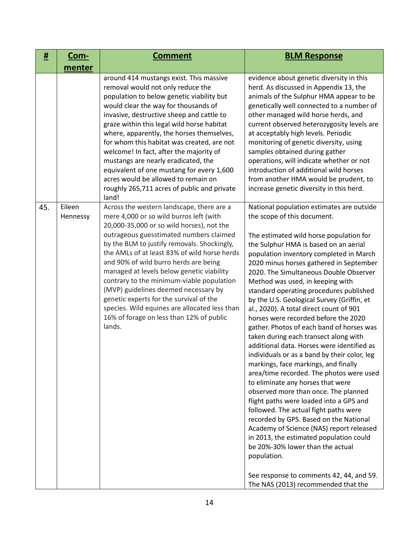| <u>#</u> | <u>Com-</u>        | <b>Comment</b>                                                                                                                                                                                                                                                                                                                                                                                                                                                                                                                                                                                           | <b>BLM Response</b>                                                                                                                                                                                                                                                                                                                                                                                                                                                                                                                                                                                                                                                                                                                                                                                                                                                                                                                                                                                                                                                                                                                                                                                                          |
|----------|--------------------|----------------------------------------------------------------------------------------------------------------------------------------------------------------------------------------------------------------------------------------------------------------------------------------------------------------------------------------------------------------------------------------------------------------------------------------------------------------------------------------------------------------------------------------------------------------------------------------------------------|------------------------------------------------------------------------------------------------------------------------------------------------------------------------------------------------------------------------------------------------------------------------------------------------------------------------------------------------------------------------------------------------------------------------------------------------------------------------------------------------------------------------------------------------------------------------------------------------------------------------------------------------------------------------------------------------------------------------------------------------------------------------------------------------------------------------------------------------------------------------------------------------------------------------------------------------------------------------------------------------------------------------------------------------------------------------------------------------------------------------------------------------------------------------------------------------------------------------------|
|          | menter             |                                                                                                                                                                                                                                                                                                                                                                                                                                                                                                                                                                                                          |                                                                                                                                                                                                                                                                                                                                                                                                                                                                                                                                                                                                                                                                                                                                                                                                                                                                                                                                                                                                                                                                                                                                                                                                                              |
|          |                    | around 414 mustangs exist. This massive<br>removal would not only reduce the<br>population to below genetic viability but<br>would clear the way for thousands of<br>invasive, destructive sheep and cattle to<br>graze within this legal wild horse habitat<br>where, apparently, the horses themselves,<br>for whom this habitat was created, are not<br>welcome! In fact, after the majority of<br>mustangs are nearly eradicated, the<br>equivalent of one mustang for every 1,600<br>acres would be allowed to remain on<br>roughly 265,711 acres of public and private<br>land!                    | evidence about genetic diversity in this<br>herd. As discussed in Appendix 13, the<br>animals of the Sulphur HMA appear to be<br>genetically well connected to a number of<br>other managed wild horse herds, and<br>current observed heterozygosity levels are<br>at acceptably high levels. Periodic<br>monitoring of genetic diversity, using<br>samples obtained during gather<br>operations, will indicate whether or not<br>introduction of additional wild horses<br>from another HMA would be prudent, to<br>increase genetic diversity in this herd.                                                                                                                                                                                                                                                                                                                                                                                                                                                                                                                                                                                                                                                                |
| 45.      | Eileen<br>Hennessy | Across the western landscape, there are a<br>mere 4,000 or so wild burros left (with<br>20,000-35,000 or so wild horses), not the<br>outrageous guesstimated numbers claimed<br>by the BLM to justify removals. Shockingly,<br>the AMLs of at least 83% of wild horse herds<br>and 90% of wild burro herds are being<br>managed at levels below genetic viability<br>contrary to the minimum-viable population<br>(MVP) guidelines deemed necessary by<br>genetic experts for the survival of the<br>species. Wild equines are allocated less than<br>16% of forage on less than 12% of public<br>lands. | National population estimates are outside<br>the scope of this document.<br>The estimated wild horse population for<br>the Sulphur HMA is based on an aerial<br>population inventory completed in March<br>2020 minus horses gathered in September<br>2020. The Simultaneous Double Observer<br>Method was used, in keeping with<br>standard operating procedures published<br>by the U.S. Geological Survey (Griffin, et<br>al., 2020). A total direct count of 901<br>horses were recorded before the 2020<br>gather. Photos of each band of horses was<br>taken during each transect along with<br>additional data. Horses were identified as<br>individuals or as a band by their color, leg<br>markings, face markings, and finally<br>area/time recorded. The photos were used<br>to eliminate any horses that were<br>observed more than once. The planned<br>flight paths were loaded into a GPS and<br>followed. The actual fight paths were<br>recorded by GPS. Based on the National<br>Academy of Science (NAS) report released<br>in 2013, the estimated population could<br>be 20%-30% lower than the actual<br>population.<br>See response to comments 42, 44, and 59.<br>The NAS (2013) recommended that the |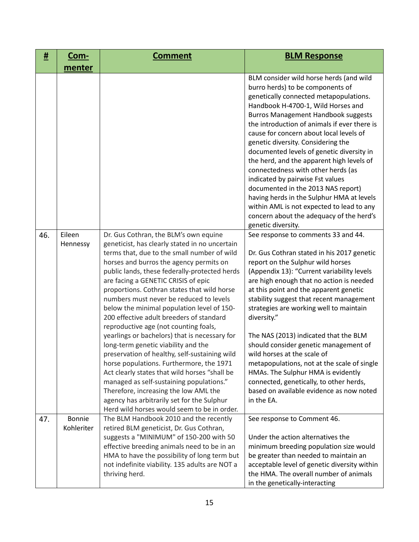| #   | <u>Com-</u>                 | <b>Comment</b>                                                                                                                                                                                                                                                                                                                                                                                                                                                                                                                                                                                                                                                                                                                                                                                                                                                                                                                 | <b>BLM Response</b>                                                                                                                                                                                                                                                                                                                                                                                                                                                                                                                                                                                                                                                                                              |
|-----|-----------------------------|--------------------------------------------------------------------------------------------------------------------------------------------------------------------------------------------------------------------------------------------------------------------------------------------------------------------------------------------------------------------------------------------------------------------------------------------------------------------------------------------------------------------------------------------------------------------------------------------------------------------------------------------------------------------------------------------------------------------------------------------------------------------------------------------------------------------------------------------------------------------------------------------------------------------------------|------------------------------------------------------------------------------------------------------------------------------------------------------------------------------------------------------------------------------------------------------------------------------------------------------------------------------------------------------------------------------------------------------------------------------------------------------------------------------------------------------------------------------------------------------------------------------------------------------------------------------------------------------------------------------------------------------------------|
|     | menter                      |                                                                                                                                                                                                                                                                                                                                                                                                                                                                                                                                                                                                                                                                                                                                                                                                                                                                                                                                |                                                                                                                                                                                                                                                                                                                                                                                                                                                                                                                                                                                                                                                                                                                  |
|     |                             |                                                                                                                                                                                                                                                                                                                                                                                                                                                                                                                                                                                                                                                                                                                                                                                                                                                                                                                                | BLM consider wild horse herds (and wild<br>burro herds) to be components of<br>genetically connected metapopulations.<br>Handbook H-4700-1, Wild Horses and<br><b>Burros Management Handbook suggests</b><br>the introduction of animals if ever there is<br>cause for concern about local levels of<br>genetic diversity. Considering the<br>documented levels of genetic diversity in<br>the herd, and the apparent high levels of<br>connectedness with other herds (as<br>indicated by pairwise Fst values<br>documented in the 2013 NAS report)<br>having herds in the Sulphur HMA at levels<br>within AML is not expected to lead to any<br>concern about the adequacy of the herd's<br>genetic diversity. |
| 46. | Eileen<br>Hennessy          | Dr. Gus Cothran, the BLM's own equine<br>geneticist, has clearly stated in no uncertain<br>terms that, due to the small number of wild<br>horses and burros the agency permits on<br>public lands, these federally-protected herds<br>are facing a GENETIC CRISIS of epic<br>proportions. Cothran states that wild horse<br>numbers must never be reduced to levels<br>below the minimal population level of 150-<br>200 effective adult breeders of standard<br>reproductive age (not counting foals,<br>yearlings or bachelors) that is necessary for<br>long-term genetic viability and the<br>preservation of healthy, self-sustaining wild<br>horse populations. Furthermore, the 1971<br>Act clearly states that wild horses "shall be<br>managed as self-sustaining populations."<br>Therefore, increasing the low AML the<br>agency has arbitrarily set for the Sulphur<br>Herd wild horses would seem to be in order. | See response to comments 33 and 44.<br>Dr. Gus Cothran stated in his 2017 genetic<br>report on the Sulphur wild horses<br>(Appendix 13): "Current variability levels<br>are high enough that no action is needed<br>at this point and the apparent genetic<br>stability suggest that recent management<br>strategies are working well to maintain<br>diversity."<br>The NAS (2013) indicated that the BLM<br>should consider genetic management of<br>wild horses at the scale of<br>metapopulations, not at the scale of single<br>HMAs. The Sulphur HMA is evidently<br>connected, genetically, to other herds,<br>based on available evidence as now noted<br>in the EA.                                      |
| 47. | <b>Bonnie</b><br>Kohleriter | The BLM Handbook 2010 and the recently<br>retired BLM geneticist, Dr. Gus Cothran,<br>suggests a "MINIMUM" of 150-200 with 50<br>effective breeding animals need to be in an<br>HMA to have the possibility of long term but<br>not indefinite viability. 135 adults are NOT a<br>thriving herd.                                                                                                                                                                                                                                                                                                                                                                                                                                                                                                                                                                                                                               | See response to Comment 46.<br>Under the action alternatives the<br>minimum breeding population size would<br>be greater than needed to maintain an<br>acceptable level of genetic diversity within<br>the HMA. The overall number of animals<br>in the genetically-interacting                                                                                                                                                                                                                                                                                                                                                                                                                                  |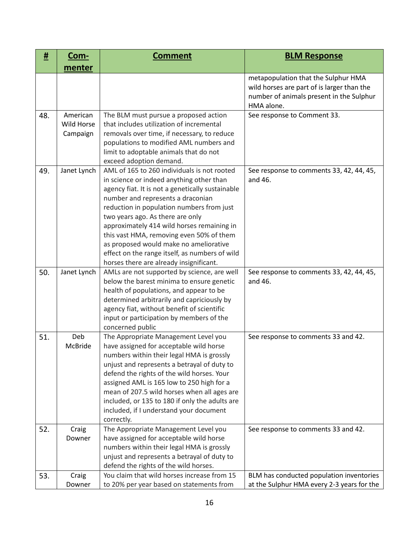| #   | <u>Com-</u>                               | <b>Comment</b>                                                                                                                                                                                                                                                                                                                                                                                                                                                                                     | <b>BLM Response</b>                                                                                                                         |
|-----|-------------------------------------------|----------------------------------------------------------------------------------------------------------------------------------------------------------------------------------------------------------------------------------------------------------------------------------------------------------------------------------------------------------------------------------------------------------------------------------------------------------------------------------------------------|---------------------------------------------------------------------------------------------------------------------------------------------|
|     | menter                                    |                                                                                                                                                                                                                                                                                                                                                                                                                                                                                                    |                                                                                                                                             |
|     |                                           |                                                                                                                                                                                                                                                                                                                                                                                                                                                                                                    | metapopulation that the Sulphur HMA<br>wild horses are part of is larger than the<br>number of animals present in the Sulphur<br>HMA alone. |
| 48. | American<br><b>Wild Horse</b><br>Campaign | The BLM must pursue a proposed action<br>that includes utilization of incremental<br>removals over time, if necessary, to reduce<br>populations to modified AML numbers and<br>limit to adoptable animals that do not<br>exceed adoption demand.                                                                                                                                                                                                                                                   | See response to Comment 33.                                                                                                                 |
| 49. | Janet Lynch                               | AML of 165 to 260 individuals is not rooted<br>in science or indeed anything other than<br>agency fiat. It is not a genetically sustainable<br>number and represents a draconian<br>reduction in population numbers from just<br>two years ago. As there are only<br>approximately 414 wild horses remaining in<br>this vast HMA, removing even 50% of them<br>as proposed would make no ameliorative<br>effect on the range itself, as numbers of wild<br>horses there are already insignificant. | See response to comments 33, 42, 44, 45,<br>and 46.                                                                                         |
| 50. | Janet Lynch                               | AMLs are not supported by science, are well<br>below the barest minima to ensure genetic<br>health of populations, and appear to be<br>determined arbitrarily and capriciously by<br>agency fiat, without benefit of scientific<br>input or participation by members of the<br>concerned public                                                                                                                                                                                                    | See response to comments 33, 42, 44, 45,<br>and 46.                                                                                         |
| 51. | Deb<br>McBride                            | The Appropriate Management Level you<br>have assigned for acceptable wild horse<br>numbers within their legal HMA is grossly<br>unjust and represents a betrayal of duty to<br>defend the rights of the wild horses. Your<br>assigned AML is 165 low to 250 high for a<br>mean of 207.5 wild horses when all ages are<br>included, or 135 to 180 if only the adults are<br>included, if I understand your document<br>correctly.                                                                   | See response to comments 33 and 42.                                                                                                         |
| 52. | Craig<br>Downer                           | The Appropriate Management Level you<br>have assigned for acceptable wild horse<br>numbers within their legal HMA is grossly<br>unjust and represents a betrayal of duty to<br>defend the rights of the wild horses.                                                                                                                                                                                                                                                                               | See response to comments 33 and 42.                                                                                                         |
| 53. | Craig<br>Downer                           | You claim that wild horses increase from 15<br>to 20% per year based on statements from                                                                                                                                                                                                                                                                                                                                                                                                            | BLM has conducted population inventories<br>at the Sulphur HMA every 2-3 years for the                                                      |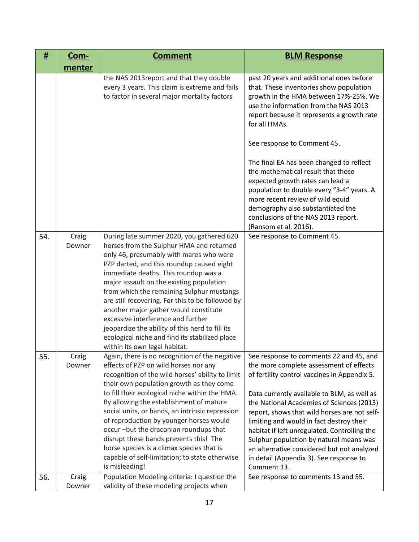| <u>#</u> | <u>Com-</u>     | <b>Comment</b>                                                                                                                                                                                                                                                                                                                                                                                                                                                                                                                                                                          | <b>BLM Response</b>                                                                                                                                                                                                                                                                                      |
|----------|-----------------|-----------------------------------------------------------------------------------------------------------------------------------------------------------------------------------------------------------------------------------------------------------------------------------------------------------------------------------------------------------------------------------------------------------------------------------------------------------------------------------------------------------------------------------------------------------------------------------------|----------------------------------------------------------------------------------------------------------------------------------------------------------------------------------------------------------------------------------------------------------------------------------------------------------|
|          | menter          |                                                                                                                                                                                                                                                                                                                                                                                                                                                                                                                                                                                         |                                                                                                                                                                                                                                                                                                          |
|          |                 | the NAS 2013 report and that they double<br>every 3 years. This claim is extreme and fails<br>to factor in several major mortality factors                                                                                                                                                                                                                                                                                                                                                                                                                                              | past 20 years and additional ones before<br>that. These inventories show population<br>growth in the HMA between 17%-25%. We<br>use the information from the NAS 2013<br>report because it represents a growth rate<br>for all HMAs.                                                                     |
|          |                 |                                                                                                                                                                                                                                                                                                                                                                                                                                                                                                                                                                                         | See response to Comment 45.                                                                                                                                                                                                                                                                              |
|          |                 |                                                                                                                                                                                                                                                                                                                                                                                                                                                                                                                                                                                         | The final EA has been changed to reflect<br>the mathematical result that those<br>expected growth rates can lead a<br>population to double every "3-4" years. A<br>more recent review of wild equid<br>demography also substantiated the<br>conclusions of the NAS 2013 report.<br>(Ransom et al. 2016). |
| 54.      | Craig<br>Downer | During late summer 2020, you gathered 620<br>horses from the Sulphur HMA and returned<br>only 46, presumably with mares who were<br>PZP darted, and this roundup caused eight<br>immediate deaths. This roundup was a<br>major assault on the existing population<br>from which the remaining Sulphur mustangs<br>are still recovering. For this to be followed by<br>another major gather would constitute<br>excessive interference and further<br>jeopardize the ability of this herd to fill its<br>ecological niche and find its stabilized place<br>within its own legal habitat. | See response to Comment 45.                                                                                                                                                                                                                                                                              |
| 55.      | Craig<br>Downer | Again, there is no recognition of the negative   See response to comments 22 and 45, and<br>effects of PZP on wild horses nor any<br>recognition of the wild horses' ability to limit<br>their own population growth as they come<br>to fill their ecological niche within the HMA.<br>By allowing the establishment of mature                                                                                                                                                                                                                                                          | the more complete assessment of effects<br>of fertility control vaccines in Appendix 5.<br>Data currently available to BLM, as well as<br>the National Academies of Sciences (2013)                                                                                                                      |
|          |                 | social units, or bands, an intrinsic repression<br>of reproduction by younger horses would<br>occur-but the draconian roundups that<br>disrupt these bands prevents this! The<br>horse species is a climax species that is<br>capable of self-limitation; to state otherwise<br>is misleading!                                                                                                                                                                                                                                                                                          | report, shows that wild horses are not self-<br>limiting and would in fact destroy their<br>habitat if left unregulated. Controlling the<br>Sulphur population by natural means was<br>an alternative considered but not analyzed<br>in detail (Appendix 3). See response to<br>Comment 13.              |
| 56.      | Craig<br>Downer | Population Modeling criteria: I question the<br>validity of these modeling projects when                                                                                                                                                                                                                                                                                                                                                                                                                                                                                                | See response to comments 13 and 55.                                                                                                                                                                                                                                                                      |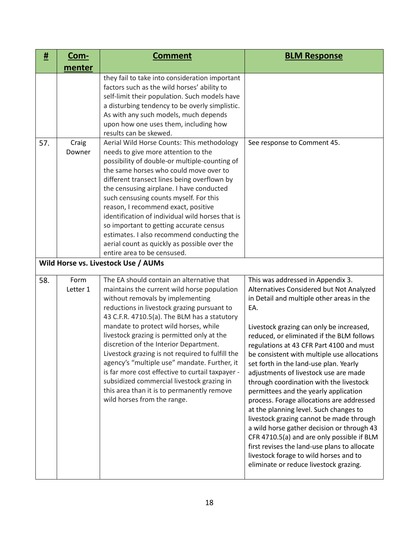| <u>#</u> | <u>Com-</u>      | <b>Comment</b>                                                                                                                                                                                                                                                                                                                                                                                                                                                                                                                                                                                                                                  | <b>BLM Response</b>                                                                                                                                                                                                                                                                                                                                                                                                                                                                                                                                                                                                                                                                                                                                                                                                                                             |
|----------|------------------|-------------------------------------------------------------------------------------------------------------------------------------------------------------------------------------------------------------------------------------------------------------------------------------------------------------------------------------------------------------------------------------------------------------------------------------------------------------------------------------------------------------------------------------------------------------------------------------------------------------------------------------------------|-----------------------------------------------------------------------------------------------------------------------------------------------------------------------------------------------------------------------------------------------------------------------------------------------------------------------------------------------------------------------------------------------------------------------------------------------------------------------------------------------------------------------------------------------------------------------------------------------------------------------------------------------------------------------------------------------------------------------------------------------------------------------------------------------------------------------------------------------------------------|
|          | menter           |                                                                                                                                                                                                                                                                                                                                                                                                                                                                                                                                                                                                                                                 |                                                                                                                                                                                                                                                                                                                                                                                                                                                                                                                                                                                                                                                                                                                                                                                                                                                                 |
|          |                  | they fail to take into consideration important<br>factors such as the wild horses' ability to<br>self-limit their population. Such models have<br>a disturbing tendency to be overly simplistic.<br>As with any such models, much depends<br>upon how one uses them, including how<br>results can be skewed.                                                                                                                                                                                                                                                                                                                                    |                                                                                                                                                                                                                                                                                                                                                                                                                                                                                                                                                                                                                                                                                                                                                                                                                                                                 |
| 57.      | Craig<br>Downer  | Aerial Wild Horse Counts: This methodology<br>needs to give more attention to the<br>possibility of double-or multiple-counting of<br>the same horses who could move over to<br>different transect lines being overflown by<br>the censusing airplane. I have conducted<br>such censusing counts myself. For this<br>reason, I recommend exact, positive<br>identification of individual wild horses that is<br>so important to getting accurate census<br>estimates. I also recommend conducting the<br>aerial count as quickly as possible over the<br>entire area to be censused.                                                            | See response to Comment 45.                                                                                                                                                                                                                                                                                                                                                                                                                                                                                                                                                                                                                                                                                                                                                                                                                                     |
|          |                  | Wild Horse vs. Livestock Use / AUMs                                                                                                                                                                                                                                                                                                                                                                                                                                                                                                                                                                                                             |                                                                                                                                                                                                                                                                                                                                                                                                                                                                                                                                                                                                                                                                                                                                                                                                                                                                 |
| 58.      | Form<br>Letter 1 | The EA should contain an alternative that<br>maintains the current wild horse population<br>without removals by implementing<br>reductions in livestock grazing pursuant to<br>43 C.F.R. 4710.5(a). The BLM has a statutory<br>mandate to protect wild horses, while<br>livestock grazing is permitted only at the<br>discretion of the Interior Department.<br>Livestock grazing is not required to fulfill the<br>agency's "multiple use" mandate. Further, it<br>is far more cost effective to curtail taxpayer -<br>subsidized commercial livestock grazing in<br>this area than it is to permanently remove<br>wild horses from the range. | This was addressed in Appendix 3.<br>Alternatives Considered but Not Analyzed<br>in Detail and multiple other areas in the<br>EA.<br>Livestock grazing can only be increased,<br>reduced, or eliminated if the BLM follows<br>regulations at 43 CFR Part 4100 and must<br>be consistent with multiple use allocations<br>set forth in the land-use plan. Yearly<br>adjustments of livestock use are made<br>through coordination with the livestock<br>permittees and the yearly application<br>process. Forage allocations are addressed<br>at the planning level. Such changes to<br>livestock grazing cannot be made through<br>a wild horse gather decision or through 43<br>CFR 4710.5(a) and are only possible if BLM<br>first revises the land-use plans to allocate<br>livestock forage to wild horses and to<br>eliminate or reduce livestock grazing. |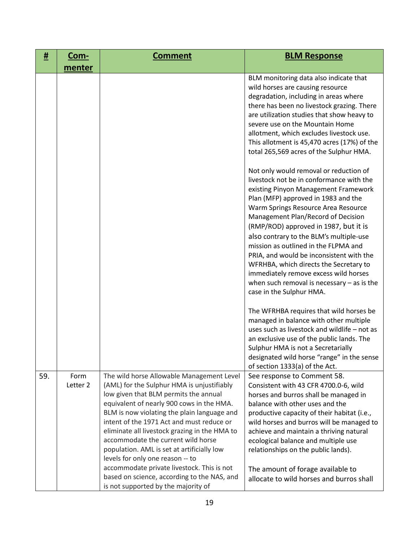| #   | <u>Com-</u>      | <b>Comment</b>                                                                                                                                                                                                                                                                                                                                                                                                                                                                                                                                                                         | <b>BLM Response</b>                                                                                                                                                                                                                                                                                                                                                                                                                                                                                                                                                                   |
|-----|------------------|----------------------------------------------------------------------------------------------------------------------------------------------------------------------------------------------------------------------------------------------------------------------------------------------------------------------------------------------------------------------------------------------------------------------------------------------------------------------------------------------------------------------------------------------------------------------------------------|---------------------------------------------------------------------------------------------------------------------------------------------------------------------------------------------------------------------------------------------------------------------------------------------------------------------------------------------------------------------------------------------------------------------------------------------------------------------------------------------------------------------------------------------------------------------------------------|
|     | menter           |                                                                                                                                                                                                                                                                                                                                                                                                                                                                                                                                                                                        |                                                                                                                                                                                                                                                                                                                                                                                                                                                                                                                                                                                       |
|     |                  |                                                                                                                                                                                                                                                                                                                                                                                                                                                                                                                                                                                        | BLM monitoring data also indicate that<br>wild horses are causing resource<br>degradation, including in areas where<br>there has been no livestock grazing. There<br>are utilization studies that show heavy to<br>severe use on the Mountain Home<br>allotment, which excludes livestock use.<br>This allotment is 45,470 acres (17%) of the<br>total 265,569 acres of the Sulphur HMA.                                                                                                                                                                                              |
|     |                  |                                                                                                                                                                                                                                                                                                                                                                                                                                                                                                                                                                                        | Not only would removal or reduction of<br>livestock not be in conformance with the<br>existing Pinyon Management Framework<br>Plan (MFP) approved in 1983 and the<br>Warm Springs Resource Area Resource<br>Management Plan/Record of Decision<br>(RMP/ROD) approved in 1987, but it is<br>also contrary to the BLM's multiple-use<br>mission as outlined in the FLPMA and<br>PRIA, and would be inconsistent with the<br>WFRHBA, which directs the Secretary to<br>immediately remove excess wild horses<br>when such removal is necessary $-$ as is the<br>case in the Sulphur HMA. |
|     |                  |                                                                                                                                                                                                                                                                                                                                                                                                                                                                                                                                                                                        | The WFRHBA requires that wild horses be<br>managed in balance with other multiple<br>uses such as livestock and wildlife - not as<br>an exclusive use of the public lands. The<br>Sulphur HMA is not a Secretarially<br>designated wild horse "range" in the sense<br>of section 1333(a) of the Act.                                                                                                                                                                                                                                                                                  |
| 59. | Form<br>Letter 2 | The wild horse Allowable Management Level<br>(AML) for the Sulphur HMA is unjustifiably<br>low given that BLM permits the annual<br>equivalent of nearly 900 cows in the HMA.<br>BLM is now violating the plain language and<br>intent of the 1971 Act and must reduce or<br>eliminate all livestock grazing in the HMA to<br>accommodate the current wild horse<br>population. AML is set at artificially low<br>levels for only one reason -- to<br>accommodate private livestock. This is not<br>based on science, according to the NAS, and<br>is not supported by the majority of | See response to Comment 58.<br>Consistent with 43 CFR 4700.0-6, wild<br>horses and burros shall be managed in<br>balance with other uses and the<br>productive capacity of their habitat (i.e.,<br>wild horses and burros will be managed to<br>achieve and maintain a thriving natural<br>ecological balance and multiple use<br>relationships on the public lands).<br>The amount of forage available to<br>allocate to wild horses and burros shall                                                                                                                                |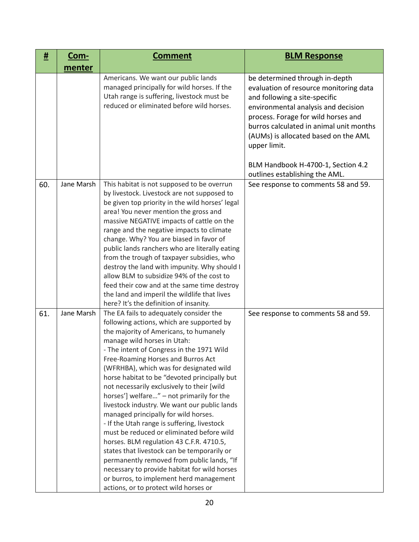| #   | <u>Com-</u> | <b>Comment</b>                                                                                                                                                                                                                                                                                                                                                                                                                                                                                                                                                                                                                                                                                                                                                                                                                                                                                          | <b>BLM Response</b>                                                                                                                                                                                                                                                                                                                                                |
|-----|-------------|---------------------------------------------------------------------------------------------------------------------------------------------------------------------------------------------------------------------------------------------------------------------------------------------------------------------------------------------------------------------------------------------------------------------------------------------------------------------------------------------------------------------------------------------------------------------------------------------------------------------------------------------------------------------------------------------------------------------------------------------------------------------------------------------------------------------------------------------------------------------------------------------------------|--------------------------------------------------------------------------------------------------------------------------------------------------------------------------------------------------------------------------------------------------------------------------------------------------------------------------------------------------------------------|
|     | menter      |                                                                                                                                                                                                                                                                                                                                                                                                                                                                                                                                                                                                                                                                                                                                                                                                                                                                                                         |                                                                                                                                                                                                                                                                                                                                                                    |
|     |             | Americans. We want our public lands<br>managed principally for wild horses. If the<br>Utah range is suffering, livestock must be<br>reduced or eliminated before wild horses.                                                                                                                                                                                                                                                                                                                                                                                                                                                                                                                                                                                                                                                                                                                           | be determined through in-depth<br>evaluation of resource monitoring data<br>and following a site-specific<br>environmental analysis and decision<br>process. Forage for wild horses and<br>burros calculated in animal unit months<br>(AUMs) is allocated based on the AML<br>upper limit.<br>BLM Handbook H-4700-1, Section 4.2<br>outlines establishing the AML. |
| 60. | Jane Marsh  | This habitat is not supposed to be overrun<br>by livestock. Livestock are not supposed to<br>be given top priority in the wild horses' legal<br>area! You never mention the gross and<br>massive NEGATIVE impacts of cattle on the<br>range and the negative impacts to climate<br>change. Why? You are biased in favor of<br>public lands ranchers who are literally eating<br>from the trough of taxpayer subsidies, who<br>destroy the land with impunity. Why should I<br>allow BLM to subsidize 94% of the cost to<br>feed their cow and at the same time destroy<br>the land and imperil the wildlife that lives<br>here? It's the definition of insanity.                                                                                                                                                                                                                                        | See response to comments 58 and 59.                                                                                                                                                                                                                                                                                                                                |
| 61. | Jane Marsh  | The EA fails to adequately consider the<br>following actions, which are supported by<br>the majority of Americans, to humanely<br>manage wild horses in Utah:<br>- The intent of Congress in the 1971 Wild<br>Free-Roaming Horses and Burros Act<br>(WFRHBA), which was for designated wild<br>horse habitat to be "devoted principally but<br>not necessarily exclusively to their [wild<br>horses'] welfare" - not primarily for the<br>livestock industry. We want our public lands<br>managed principally for wild horses.<br>- If the Utah range is suffering, livestock<br>must be reduced or eliminated before wild<br>horses. BLM regulation 43 C.F.R. 4710.5,<br>states that livestock can be temporarily or<br>permanently removed from public lands, "If<br>necessary to provide habitat for wild horses<br>or burros, to implement herd management<br>actions, or to protect wild horses or | See response to comments 58 and 59.                                                                                                                                                                                                                                                                                                                                |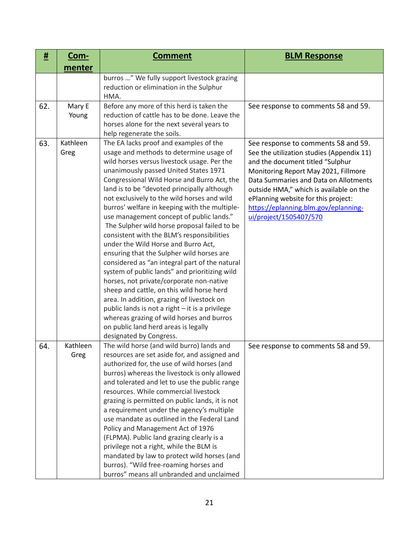| #   | <u>Com-</u>      | <b>Comment</b>                                                                                                                                                                                                                                                                                                                                                                                                                                                                                                                                                                                                                                                                                                                                                                                                                                                                                                                                                                                                     | <b>BLM Response</b>                                                                                                                                                                                                                                                                                                                                       |
|-----|------------------|--------------------------------------------------------------------------------------------------------------------------------------------------------------------------------------------------------------------------------------------------------------------------------------------------------------------------------------------------------------------------------------------------------------------------------------------------------------------------------------------------------------------------------------------------------------------------------------------------------------------------------------------------------------------------------------------------------------------------------------------------------------------------------------------------------------------------------------------------------------------------------------------------------------------------------------------------------------------------------------------------------------------|-----------------------------------------------------------------------------------------------------------------------------------------------------------------------------------------------------------------------------------------------------------------------------------------------------------------------------------------------------------|
|     | menter           |                                                                                                                                                                                                                                                                                                                                                                                                                                                                                                                                                                                                                                                                                                                                                                                                                                                                                                                                                                                                                    |                                                                                                                                                                                                                                                                                                                                                           |
|     |                  | burros " We fully support livestock grazing<br>reduction or elimination in the Sulphur<br>HMA.                                                                                                                                                                                                                                                                                                                                                                                                                                                                                                                                                                                                                                                                                                                                                                                                                                                                                                                     |                                                                                                                                                                                                                                                                                                                                                           |
| 62. | Mary E<br>Young  | Before any more of this herd is taken the<br>reduction of cattle has to be done. Leave the<br>horses alone for the next several years to<br>help regenerate the soils.                                                                                                                                                                                                                                                                                                                                                                                                                                                                                                                                                                                                                                                                                                                                                                                                                                             | See response to comments 58 and 59.                                                                                                                                                                                                                                                                                                                       |
| 63. | Kathleen<br>Greg | The EA lacks proof and examples of the<br>usage and methods to determine usage of<br>wild horses versus livestock usage. Per the<br>unanimously passed United States 1971<br>Congressional Wild Horse and Burro Act, the<br>land is to be "devoted principally although<br>not exclusively to the wild horses and wild<br>burros' welfare in keeping with the multiple-<br>use management concept of public lands."<br>The Sulpher wild horse proposal failed to be<br>consistent with the BLM's responsibilities<br>under the Wild Horse and Burro Act,<br>ensuring that the Sulpher wild horses are<br>considered as "an integral part of the natural<br>system of public lands" and prioritizing wild<br>horses, not private/corporate non-native<br>sheep and cattle, on this wild horse herd<br>area. In addition, grazing of livestock on<br>public lands is not a right - it is a privilege<br>whereas grazing of wild horses and burros<br>on public land herd areas is legally<br>designated by Congress. | See response to comments 58 and 59.<br>See the utilization studies (Appendix 11)<br>and the document titled "Sulphur<br>Monitoring Report May 2021, Fillmore<br>Data Summaries and Data on Allotments<br>outside HMA," which is available on the<br>ePlanning website for this project:<br>https://eplanning.blm.gov/eplanning-<br>ui/project/1505407/570 |
| 64. | Kathleen<br>Greg | The wild horse (and wild burro) lands and<br>resources are set aside for, and assigned and<br>authorized for, the use of wild horses (and<br>burros) whereas the livestock is only allowed<br>and tolerated and let to use the public range<br>resources. While commercial livestock<br>grazing is permitted on public lands, it is not<br>a requirement under the agency's multiple<br>use mandate as outlined in the Federal Land<br>Policy and Management Act of 1976<br>(FLPMA). Public land grazing clearly is a<br>privilege not a right, while the BLM is<br>mandated by law to protect wild horses (and<br>burros). "Wild free-roaming horses and<br>burros" means all unbranded and unclaimed                                                                                                                                                                                                                                                                                                             | See response to comments 58 and 59.                                                                                                                                                                                                                                                                                                                       |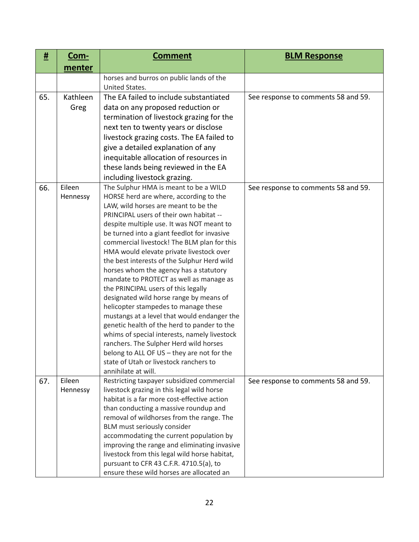| #   | <u>Com-</u> | <b>Comment</b>                                                                              | <b>BLM Response</b>                 |
|-----|-------------|---------------------------------------------------------------------------------------------|-------------------------------------|
|     | menter      |                                                                                             |                                     |
|     |             | horses and burros on public lands of the<br>United States.                                  |                                     |
| 65. | Kathleen    | The EA failed to include substantiated                                                      | See response to comments 58 and 59. |
|     | Greg        | data on any proposed reduction or                                                           |                                     |
|     |             |                                                                                             |                                     |
|     |             | termination of livestock grazing for the                                                    |                                     |
|     |             | next ten to twenty years or disclose                                                        |                                     |
|     |             | livestock grazing costs. The EA failed to                                                   |                                     |
|     |             | give a detailed explanation of any                                                          |                                     |
|     |             | inequitable allocation of resources in                                                      |                                     |
|     |             | these lands being reviewed in the EA                                                        |                                     |
|     |             | including livestock grazing.                                                                |                                     |
| 66. | Eileen      | The Sulphur HMA is meant to be a WILD<br>HORSE herd are where, according to the             | See response to comments 58 and 59. |
|     | Hennessy    | LAW, wild horses are meant to be the                                                        |                                     |
|     |             | PRINCIPAL users of their own habitat --                                                     |                                     |
|     |             | despite multiple use. It was NOT meant to                                                   |                                     |
|     |             | be turned into a giant feedlot for invasive                                                 |                                     |
|     |             | commercial livestock! The BLM plan for this                                                 |                                     |
|     |             | HMA would elevate private livestock over                                                    |                                     |
|     |             | the best interests of the Sulphur Herd wild                                                 |                                     |
|     |             | horses whom the agency has a statutory                                                      |                                     |
|     |             | mandate to PROTECT as well as manage as                                                     |                                     |
|     |             | the PRINCIPAL users of this legally                                                         |                                     |
|     |             | designated wild horse range by means of                                                     |                                     |
|     |             | helicopter stampedes to manage these                                                        |                                     |
|     |             | mustangs at a level that would endanger the                                                 |                                     |
|     |             | genetic health of the herd to pander to the<br>whims of special interests, namely livestock |                                     |
|     |             | ranchers. The Sulpher Herd wild horses                                                      |                                     |
|     |             | belong to ALL OF US - they are not for the                                                  |                                     |
|     |             | state of Utah or livestock ranchers to                                                      |                                     |
|     |             | annihilate at will.                                                                         |                                     |
| 67. | Eileen      | Restricting taxpayer subsidized commercial                                                  | See response to comments 58 and 59. |
|     | Hennessy    | livestock grazing in this legal wild horse                                                  |                                     |
|     |             | habitat is a far more cost-effective action                                                 |                                     |
|     |             | than conducting a massive roundup and                                                       |                                     |
|     |             | removal of wildhorses from the range. The                                                   |                                     |
|     |             | BLM must seriously consider                                                                 |                                     |
|     |             | accommodating the current population by                                                     |                                     |
|     |             |                                                                                             |                                     |
|     |             | improving the range and eliminating invasive                                                |                                     |
|     |             | livestock from this legal wild horse habitat,<br>pursuant to CFR 43 C.F.R. 4710.5(a), to    |                                     |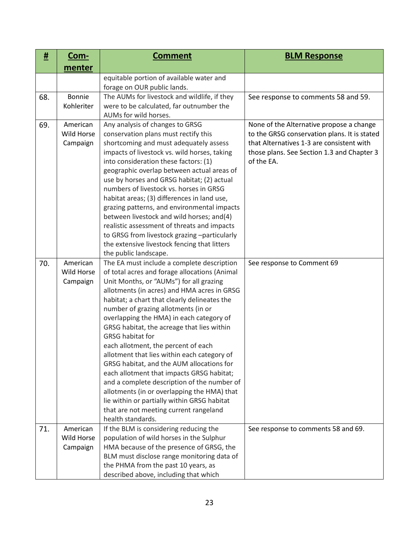| #   | <u>Com-</u> | <b>Comment</b>                                                                               | <b>BLM Response</b>                          |
|-----|-------------|----------------------------------------------------------------------------------------------|----------------------------------------------|
|     | menter      |                                                                                              |                                              |
|     |             | equitable portion of available water and                                                     |                                              |
|     |             | forage on OUR public lands.                                                                  |                                              |
| 68. | Bonnie      | The AUMs for livestock and wildlife, if they                                                 | See response to comments 58 and 59.          |
|     | Kohleriter  | were to be calculated, far outnumber the                                                     |                                              |
|     |             | AUMs for wild horses.                                                                        |                                              |
| 69. | American    | Any analysis of changes to GRSG                                                              | None of the Alternative propose a change     |
|     | Wild Horse  | conservation plans must rectify this                                                         | to the GRSG conservation plans. It is stated |
|     | Campaign    | shortcoming and must adequately assess                                                       | that Alternatives 1-3 are consistent with    |
|     |             | impacts of livestock vs. wild horses, taking                                                 | those plans. See Section 1.3 and Chapter 3   |
|     |             | into consideration these factors: (1)                                                        | of the EA.                                   |
|     |             | geographic overlap between actual areas of                                                   |                                              |
|     |             | use by horses and GRSG habitat; (2) actual                                                   |                                              |
|     |             | numbers of livestock vs. horses in GRSG                                                      |                                              |
|     |             | habitat areas; (3) differences in land use,                                                  |                                              |
|     |             | grazing patterns, and environmental impacts                                                  |                                              |
|     |             | between livestock and wild horses; and(4)                                                    |                                              |
|     |             | realistic assessment of threats and impacts                                                  |                                              |
|     |             | to GRSG from livestock grazing -particularly<br>the extensive livestock fencing that litters |                                              |
|     |             | the public landscape.                                                                        |                                              |
| 70. | American    | The EA must include a complete description                                                   | See response to Comment 69                   |
|     | Wild Horse  | of total acres and forage allocations (Animal                                                |                                              |
|     | Campaign    | Unit Months, or "AUMs") for all grazing                                                      |                                              |
|     |             | allotments (in acres) and HMA acres in GRSG                                                  |                                              |
|     |             | habitat; a chart that clearly delineates the                                                 |                                              |
|     |             | number of grazing allotments (in or                                                          |                                              |
|     |             | overlapping the HMA) in each category of                                                     |                                              |
|     |             | GRSG habitat, the acreage that lies within                                                   |                                              |
|     |             | <b>GRSG habitat for</b>                                                                      |                                              |
|     |             | each allotment, the percent of each                                                          |                                              |
|     |             | allotment that lies within each category of                                                  |                                              |
|     |             | GRSG habitat, and the AUM allocations for                                                    |                                              |
|     |             | each allotment that impacts GRSG habitat;                                                    |                                              |
|     |             | and a complete description of the number of                                                  |                                              |
|     |             | allotments (in or overlapping the HMA) that                                                  |                                              |
|     |             | lie within or partially within GRSG habitat                                                  |                                              |
|     |             | that are not meeting current rangeland                                                       |                                              |
|     |             | health standards.                                                                            |                                              |
| 71. | American    | If the BLM is considering reducing the                                                       | See response to comments 58 and 69.          |
|     | Wild Horse  | population of wild horses in the Sulphur                                                     |                                              |
|     | Campaign    | HMA because of the presence of GRSG, the                                                     |                                              |
|     |             | BLM must disclose range monitoring data of                                                   |                                              |
|     |             | the PHMA from the past 10 years, as                                                          |                                              |
|     |             | described above, including that which                                                        |                                              |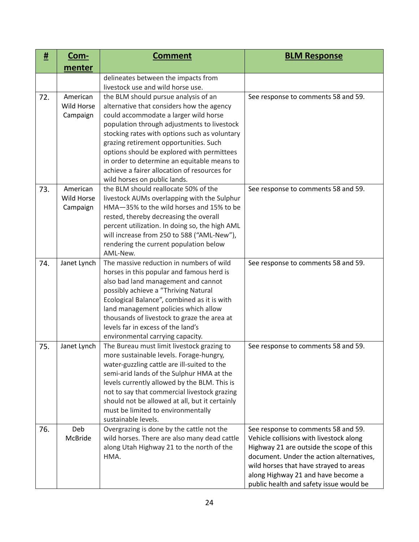| #   | <u>Com-</u>                        | <b>Comment</b>                                                                                                                                                                                                                                                                                                                                                                                                                                    | <b>BLM Response</b>                                                                                                                                                                                                                                                                               |
|-----|------------------------------------|---------------------------------------------------------------------------------------------------------------------------------------------------------------------------------------------------------------------------------------------------------------------------------------------------------------------------------------------------------------------------------------------------------------------------------------------------|---------------------------------------------------------------------------------------------------------------------------------------------------------------------------------------------------------------------------------------------------------------------------------------------------|
|     | menter                             |                                                                                                                                                                                                                                                                                                                                                                                                                                                   |                                                                                                                                                                                                                                                                                                   |
|     |                                    | delineates between the impacts from<br>livestock use and wild horse use.                                                                                                                                                                                                                                                                                                                                                                          |                                                                                                                                                                                                                                                                                                   |
| 72. | American<br>Wild Horse<br>Campaign | the BLM should pursue analysis of an<br>alternative that considers how the agency<br>could accommodate a larger wild horse<br>population through adjustments to livestock<br>stocking rates with options such as voluntary<br>grazing retirement opportunities. Such<br>options should be explored with permittees<br>in order to determine an equitable means to<br>achieve a fairer allocation of resources for<br>wild horses on public lands. | See response to comments 58 and 59.                                                                                                                                                                                                                                                               |
| 73. | American<br>Wild Horse<br>Campaign | the BLM should reallocate 50% of the<br>livestock AUMs overlapping with the Sulphur<br>HMA-35% to the wild horses and 15% to be<br>rested, thereby decreasing the overall<br>percent utilization. In doing so, the high AML<br>will increase from 250 to 588 ("AML-New"),<br>rendering the current population below<br>AML-New.                                                                                                                   | See response to comments 58 and 59.                                                                                                                                                                                                                                                               |
| 74. | Janet Lynch                        | The massive reduction in numbers of wild<br>horses in this popular and famous herd is<br>also bad land management and cannot<br>possibly achieve a "Thriving Natural<br>Ecological Balance", combined as it is with<br>land management policies which allow<br>thousands of livestock to graze the area at<br>levels far in excess of the land's<br>environmental carrying capacity.                                                              | See response to comments 58 and 59.                                                                                                                                                                                                                                                               |
| 75. | Janet Lynch                        | The Bureau must limit livestock grazing to<br>more sustainable levels. Forage-hungry,<br>water-guzzling cattle are ill-suited to the<br>semi-arid lands of the Sulphur HMA at the<br>levels currently allowed by the BLM. This is<br>not to say that commercial livestock grazing<br>should not be allowed at all, but it certainly<br>must be limited to environmentally<br>sustainable levels.                                                  | See response to comments 58 and 59.                                                                                                                                                                                                                                                               |
| 76. | Deb<br>McBride                     | Overgrazing is done by the cattle not the<br>wild horses. There are also many dead cattle<br>along Utah Highway 21 to the north of the<br>HMA.                                                                                                                                                                                                                                                                                                    | See response to comments 58 and 59.<br>Vehicle collisions with livestock along<br>Highway 21 are outside the scope of this<br>document. Under the action alternatives,<br>wild horses that have strayed to areas<br>along Highway 21 and have become a<br>public health and safety issue would be |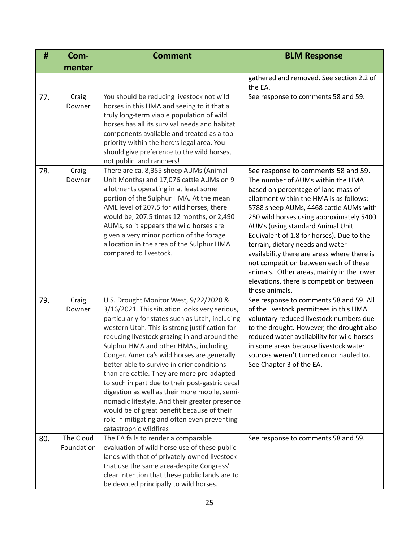| #   | <u>Com-</u>             | <b>Comment</b>                                                                                                                                                                                                                                                                                                                                                                                                                                                                                                                                                                                                                                                                                                | <b>BLM Response</b>                                                                                                                                                                                                                                                                                                                                                                                                                                                                                                                                                      |
|-----|-------------------------|---------------------------------------------------------------------------------------------------------------------------------------------------------------------------------------------------------------------------------------------------------------------------------------------------------------------------------------------------------------------------------------------------------------------------------------------------------------------------------------------------------------------------------------------------------------------------------------------------------------------------------------------------------------------------------------------------------------|--------------------------------------------------------------------------------------------------------------------------------------------------------------------------------------------------------------------------------------------------------------------------------------------------------------------------------------------------------------------------------------------------------------------------------------------------------------------------------------------------------------------------------------------------------------------------|
|     | menter                  |                                                                                                                                                                                                                                                                                                                                                                                                                                                                                                                                                                                                                                                                                                               |                                                                                                                                                                                                                                                                                                                                                                                                                                                                                                                                                                          |
|     |                         |                                                                                                                                                                                                                                                                                                                                                                                                                                                                                                                                                                                                                                                                                                               | gathered and removed. See section 2.2 of<br>the EA.                                                                                                                                                                                                                                                                                                                                                                                                                                                                                                                      |
| 77. | Craig<br>Downer         | You should be reducing livestock not wild<br>horses in this HMA and seeing to it that a<br>truly long-term viable population of wild<br>horses has all its survival needs and habitat<br>components available and treated as a top<br>priority within the herd's legal area. You<br>should give preference to the wild horses,<br>not public land ranchers!                                                                                                                                                                                                                                                                                                                                                   | See response to comments 58 and 59.                                                                                                                                                                                                                                                                                                                                                                                                                                                                                                                                      |
| 78. | Craig<br>Downer         | There are ca. 8,355 sheep AUMs (Animal<br>Unit Months) and 17,076 cattle AUMs on 9<br>allotments operating in at least some<br>portion of the Sulphur HMA. At the mean<br>AML level of 207.5 for wild horses, there<br>would be, 207.5 times 12 months, or 2,490<br>AUMs, so it appears the wild horses are<br>given a very minor portion of the forage<br>allocation in the area of the Sulphur HMA<br>compared to livestock.                                                                                                                                                                                                                                                                                | See response to comments 58 and 59.<br>The number of AUMs within the HMA<br>based on percentage of land mass of<br>allotment within the HMA is as follows:<br>5788 sheep AUMs, 4468 cattle AUMs with<br>250 wild horses using approximately 5400<br>AUMs (using standard Animal Unit<br>Equivalent of 1.8 for horses). Due to the<br>terrain, dietary needs and water<br>availability there are areas where there is<br>not competition between each of these<br>animals. Other areas, mainly in the lower<br>elevations, there is competition between<br>these animals. |
| 79. | Craig<br>Downer         | U.S. Drought Monitor West, 9/22/2020 &<br>3/16/2021. This situation looks very serious,<br>particularly for states such as Utah, including<br>western Utah. This is strong justification for<br>reducing livestock grazing in and around the<br>Sulphur HMA and other HMAs, including<br>Conger. America's wild horses are generally<br>better able to survive in drier conditions<br>than are cattle. They are more pre-adapted<br>to such in part due to their post-gastric cecal<br>digestion as well as their more mobile, semi-<br>nomadic lifestyle. And their greater presence<br>would be of great benefit because of their<br>role in mitigating and often even preventing<br>catastrophic wildfires | See response to comments 58 and 59. All<br>of the livestock permittees in this HMA<br>voluntary reduced livestock numbers due<br>to the drought. However, the drought also<br>reduced water availability for wild horses<br>in some areas because livestock water<br>sources weren't turned on or hauled to.<br>See Chapter 3 of the EA.                                                                                                                                                                                                                                 |
| 80. | The Cloud<br>Foundation | The EA fails to render a comparable<br>evaluation of wild horse use of these public<br>lands with that of privately-owned livestock<br>that use the same area-despite Congress'<br>clear intention that these public lands are to<br>be devoted principally to wild horses.                                                                                                                                                                                                                                                                                                                                                                                                                                   | See response to comments 58 and 59.                                                                                                                                                                                                                                                                                                                                                                                                                                                                                                                                      |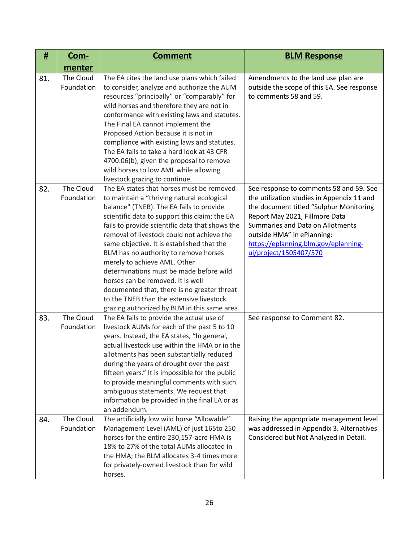| #   | <u>Com-</u>             | <b>Comment</b>                                                                                                                                                                                                                                                                                                                                                                                                                                                                                                                                                                                                                          | <b>BLM Response</b>                                                                                                                                                                                                                                                                                    |
|-----|-------------------------|-----------------------------------------------------------------------------------------------------------------------------------------------------------------------------------------------------------------------------------------------------------------------------------------------------------------------------------------------------------------------------------------------------------------------------------------------------------------------------------------------------------------------------------------------------------------------------------------------------------------------------------------|--------------------------------------------------------------------------------------------------------------------------------------------------------------------------------------------------------------------------------------------------------------------------------------------------------|
|     | menter                  |                                                                                                                                                                                                                                                                                                                                                                                                                                                                                                                                                                                                                                         |                                                                                                                                                                                                                                                                                                        |
| 81. | The Cloud<br>Foundation | The EA cites the land use plans which failed<br>to consider, analyze and authorize the AUM<br>resources "principally" or "comparably" for<br>wild horses and therefore they are not in<br>conformance with existing laws and statutes.<br>The Final EA cannot implement the<br>Proposed Action because it is not in<br>compliance with existing laws and statutes.<br>The EA fails to take a hard look at 43 CFR<br>4700.06(b), given the proposal to remove<br>wild horses to low AML while allowing<br>livestock grazing to continue.                                                                                                 | Amendments to the land use plan are<br>outside the scope of this EA. See response<br>to comments 58 and 59.                                                                                                                                                                                            |
| 82. | The Cloud<br>Foundation | The EA states that horses must be removed<br>to maintain a "thriving natural ecological<br>balance" (TNEB). The EA fails to provide<br>scientific data to support this claim; the EA<br>fails to provide scientific data that shows the<br>removal of livestock could not achieve the<br>same objective. It is established that the<br>BLM has no authority to remove horses<br>merely to achieve AML. Other<br>determinations must be made before wild<br>horses can be removed. It is well<br>documented that, there is no greater threat<br>to the TNEB than the extensive livestock<br>grazing authorized by BLM in this same area. | See response to comments 58 and 59. See<br>the utilization studies in Appendix 11 and<br>the document titled "Sulphur Monitoring<br>Report May 2021, Fillmore Data<br>Summaries and Data on Allotments<br>outside HMA" in ePlanning:<br>https://eplanning.blm.gov/eplanning-<br>ui/project/1505407/570 |
| 83. | The Cloud<br>Foundation | The EA fails to provide the actual use of<br>livestock AUMs for each of the past 5 to 10<br>years. Instead, the EA states, "In general,<br>actual livestock use within the HMA or in the<br>allotments has been substantially reduced<br>during the years of drought over the past<br>fifteen years." It is impossible for the public<br>to provide meaningful comments with such<br>ambiguous statements. We request that<br>information be provided in the final EA or as<br>an addendum.                                                                                                                                             | See response to Comment 82.                                                                                                                                                                                                                                                                            |
| 84. | The Cloud<br>Foundation | The artificially low wild horse "Allowable"<br>Management Level (AML) of just 165to 250<br>horses for the entire 230,157-acre HMA is<br>18% to 27% of the total AUMs allocated in<br>the HMA; the BLM allocates 3-4 times more<br>for privately-owned livestock than for wild<br>horses.                                                                                                                                                                                                                                                                                                                                                | Raising the appropriate management level<br>was addressed in Appendix 3. Alternatives<br>Considered but Not Analyzed in Detail.                                                                                                                                                                        |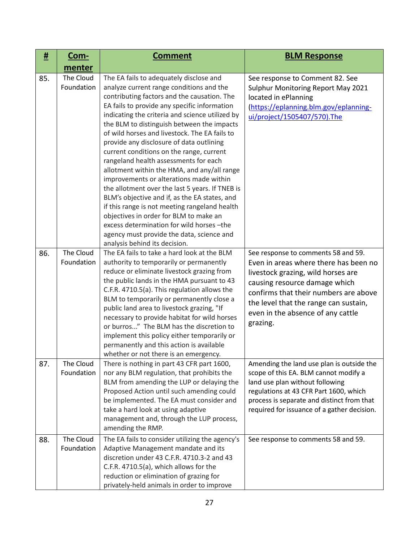| <u>#</u> | <u>Com-</u>             | <b>Comment</b>                                                                                                                                                                                                                                                                                                                                                                                                                                                                                                                                                                                                                                                                                                                                                                                                                                                                            | <b>BLM Response</b>                                                                                                                                                                                                                                                                    |
|----------|-------------------------|-------------------------------------------------------------------------------------------------------------------------------------------------------------------------------------------------------------------------------------------------------------------------------------------------------------------------------------------------------------------------------------------------------------------------------------------------------------------------------------------------------------------------------------------------------------------------------------------------------------------------------------------------------------------------------------------------------------------------------------------------------------------------------------------------------------------------------------------------------------------------------------------|----------------------------------------------------------------------------------------------------------------------------------------------------------------------------------------------------------------------------------------------------------------------------------------|
|          | menter                  |                                                                                                                                                                                                                                                                                                                                                                                                                                                                                                                                                                                                                                                                                                                                                                                                                                                                                           |                                                                                                                                                                                                                                                                                        |
| 85.      | The Cloud<br>Foundation | The EA fails to adequately disclose and<br>analyze current range conditions and the<br>contributing factors and the causation. The<br>EA fails to provide any specific information<br>indicating the criteria and science utilized by<br>the BLM to distinguish between the impacts<br>of wild horses and livestock. The EA fails to<br>provide any disclosure of data outlining<br>current conditions on the range, current<br>rangeland health assessments for each<br>allotment within the HMA, and any/all range<br>improvements or alterations made within<br>the allotment over the last 5 years. If TNEB is<br>BLM's objective and if, as the EA states, and<br>if this range is not meeting rangeland health<br>objectives in order for BLM to make an<br>excess determination for wild horses -the<br>agency must provide the data, science and<br>analysis behind its decision. | See response to Comment 82. See<br>Sulphur Monitoring Report May 2021<br>located in ePlanning<br>(https://eplanning.blm.gov/eplanning-<br>ui/project/1505407/570).The                                                                                                                  |
| 86.      | The Cloud<br>Foundation | The EA fails to take a hard look at the BLM<br>authority to temporarily or permanently<br>reduce or eliminate livestock grazing from<br>the public lands in the HMA pursuant to 43<br>C.F.R. 4710.5(a). This regulation allows the<br>BLM to temporarily or permanently close a<br>public land area to livestock grazing, "If<br>necessary to provide habitat for wild horses<br>or burros" The BLM has the discretion to<br>implement this policy either temporarily or<br>permanently and this action is available<br>whether or not there is an emergency.                                                                                                                                                                                                                                                                                                                             | See response to comments 58 and 59.<br>Even in areas where there has been no<br>livestock grazing, wild horses are<br>causing resource damage which<br>confirms that their numbers are above<br>the level that the range can sustain,<br>even in the absence of any cattle<br>grazing. |
| 87.      | The Cloud<br>Foundation | There is nothing in part 43 CFR part 1600,<br>nor any BLM regulation, that prohibits the<br>BLM from amending the LUP or delaying the<br>Proposed Action until such amending could<br>be implemented. The EA must consider and<br>take a hard look at using adaptive<br>management and, through the LUP process,<br>amending the RMP.                                                                                                                                                                                                                                                                                                                                                                                                                                                                                                                                                     | Amending the land use plan is outside the<br>scope of this EA. BLM cannot modify a<br>land use plan without following<br>regulations at 43 CFR Part 1600, which<br>process is separate and distinct from that<br>required for issuance of a gather decision.                           |
| 88.      | The Cloud<br>Foundation | The EA fails to consider utilizing the agency's<br>Adaptive Management mandate and its<br>discretion under 43 C.F.R. 4710.3-2 and 43<br>C.F.R. 4710.5(a), which allows for the<br>reduction or elimination of grazing for<br>privately-held animals in order to improve                                                                                                                                                                                                                                                                                                                                                                                                                                                                                                                                                                                                                   | See response to comments 58 and 59.                                                                                                                                                                                                                                                    |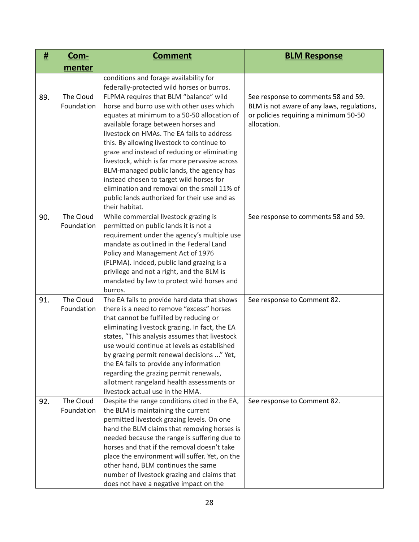| #   | <u>Com-</u>             | <b>Comment</b>                                                                                                                                                                                                                                                                                                                                                                                                                                                                                                                                                                  | <b>BLM Response</b>                                                                                                                       |
|-----|-------------------------|---------------------------------------------------------------------------------------------------------------------------------------------------------------------------------------------------------------------------------------------------------------------------------------------------------------------------------------------------------------------------------------------------------------------------------------------------------------------------------------------------------------------------------------------------------------------------------|-------------------------------------------------------------------------------------------------------------------------------------------|
|     | menter                  |                                                                                                                                                                                                                                                                                                                                                                                                                                                                                                                                                                                 |                                                                                                                                           |
|     |                         | conditions and forage availability for<br>federally-protected wild horses or burros.                                                                                                                                                                                                                                                                                                                                                                                                                                                                                            |                                                                                                                                           |
| 89. | The Cloud<br>Foundation | FLPMA requires that BLM "balance" wild<br>horse and burro use with other uses which<br>equates at minimum to a 50-50 allocation of<br>available forage between horses and<br>livestock on HMAs. The EA fails to address<br>this. By allowing livestock to continue to<br>graze and instead of reducing or eliminating<br>livestock, which is far more pervasive across<br>BLM-managed public lands, the agency has<br>instead chosen to target wild horses for<br>elimination and removal on the small 11% of<br>public lands authorized for their use and as<br>their habitat. | See response to comments 58 and 59.<br>BLM is not aware of any laws, regulations,<br>or policies requiring a minimum 50-50<br>allocation. |
| 90. | The Cloud<br>Foundation | While commercial livestock grazing is<br>permitted on public lands it is not a<br>requirement under the agency's multiple use<br>mandate as outlined in the Federal Land<br>Policy and Management Act of 1976<br>(FLPMA). Indeed, public land grazing is a<br>privilege and not a right, and the BLM is<br>mandated by law to protect wild horses and<br>burros.                                                                                                                                                                                                                | See response to comments 58 and 59.                                                                                                       |
| 91. | The Cloud<br>Foundation | The EA fails to provide hard data that shows<br>there is a need to remove "excess" horses<br>that cannot be fulfilled by reducing or<br>eliminating livestock grazing. In fact, the EA<br>states, "This analysis assumes that livestock<br>use would continue at levels as established<br>by grazing permit renewal decisions " Yet,<br>the EA fails to provide any information<br>regarding the grazing permit renewals,<br>allotment rangeland health assessments or<br>livestock actual use in the HMA.                                                                      | See response to Comment 82.                                                                                                               |
| 92. | The Cloud<br>Foundation | Despite the range conditions cited in the EA,<br>the BLM is maintaining the current<br>permitted livestock grazing levels. On one<br>hand the BLM claims that removing horses is<br>needed because the range is suffering due to<br>horses and that if the removal doesn't take<br>place the environment will suffer. Yet, on the<br>other hand, BLM continues the same<br>number of livestock grazing and claims that<br>does not have a negative impact on the                                                                                                                | See response to Comment 82.                                                                                                               |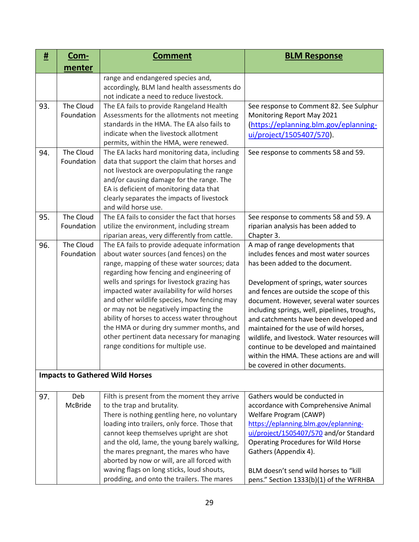| #   | <u>Com-</u>             | <b>Comment</b>                                                                                                                                                                                                                                                                                                                                                                                                                                                                                                                                             | <b>BLM Response</b>                                                                                                                                                                                                                                                                                                                                                                                                                                                                                                                                            |
|-----|-------------------------|------------------------------------------------------------------------------------------------------------------------------------------------------------------------------------------------------------------------------------------------------------------------------------------------------------------------------------------------------------------------------------------------------------------------------------------------------------------------------------------------------------------------------------------------------------|----------------------------------------------------------------------------------------------------------------------------------------------------------------------------------------------------------------------------------------------------------------------------------------------------------------------------------------------------------------------------------------------------------------------------------------------------------------------------------------------------------------------------------------------------------------|
|     | menter                  |                                                                                                                                                                                                                                                                                                                                                                                                                                                                                                                                                            |                                                                                                                                                                                                                                                                                                                                                                                                                                                                                                                                                                |
|     |                         | range and endangered species and,<br>accordingly, BLM land health assessments do<br>not indicate a need to reduce livestock.                                                                                                                                                                                                                                                                                                                                                                                                                               |                                                                                                                                                                                                                                                                                                                                                                                                                                                                                                                                                                |
| 93. | The Cloud<br>Foundation | The EA fails to provide Rangeland Health<br>Assessments for the allotments not meeting<br>standards in the HMA. The EA also fails to<br>indicate when the livestock allotment<br>permits, within the HMA, were renewed.                                                                                                                                                                                                                                                                                                                                    | See response to Comment 82. See Sulphur<br>Monitoring Report May 2021<br>(https://eplanning.blm.gov/eplanning-<br>ui/project/1505407/570).                                                                                                                                                                                                                                                                                                                                                                                                                     |
| 94. | The Cloud<br>Foundation | The EA lacks hard monitoring data, including<br>data that support the claim that horses and<br>not livestock are overpopulating the range<br>and/or causing damage for the range. The<br>EA is deficient of monitoring data that<br>clearly separates the impacts of livestock<br>and wild horse use.                                                                                                                                                                                                                                                      | See response to comments 58 and 59.                                                                                                                                                                                                                                                                                                                                                                                                                                                                                                                            |
| 95. | The Cloud<br>Foundation | The EA fails to consider the fact that horses<br>utilize the environment, including stream<br>riparian areas, very differently from cattle.                                                                                                                                                                                                                                                                                                                                                                                                                | See response to comments 58 and 59. A<br>riparian analysis has been added to<br>Chapter 3.                                                                                                                                                                                                                                                                                                                                                                                                                                                                     |
| 96. | The Cloud<br>Foundation | The EA fails to provide adequate information<br>about water sources (and fences) on the<br>range, mapping of these water sources; data<br>regarding how fencing and engineering of<br>wells and springs for livestock grazing has<br>impacted water availability for wild horses<br>and other wildlife species, how fencing may<br>or may not be negatively impacting the<br>ability of horses to access water throughout<br>the HMA or during dry summer months, and<br>other pertinent data necessary for managing<br>range conditions for multiple use. | A map of range developments that<br>includes fences and most water sources<br>has been added to the document.<br>Development of springs, water sources<br>and fences are outside the scope of this<br>document. However, several water sources<br>including springs, well, pipelines, troughs,<br>and catchments have been developed and<br>maintained for the use of wild horses,<br>wildlife, and livestock. Water resources will<br>continue to be developed and maintained<br>within the HMA. These actions are and will<br>be covered in other documents. |
|     |                         | <b>Impacts to Gathered Wild Horses</b>                                                                                                                                                                                                                                                                                                                                                                                                                                                                                                                     |                                                                                                                                                                                                                                                                                                                                                                                                                                                                                                                                                                |
| 97. | Deb<br>McBride          | Filth is present from the moment they arrive<br>to the trap and brutality.<br>There is nothing gentling here, no voluntary<br>loading into trailers, only force. Those that<br>cannot keep themselves upright are shot<br>and the old, lame, the young barely walking,<br>the mares pregnant, the mares who have<br>aborted by now or will, are all forced with<br>waving flags on long sticks, loud shouts,<br>prodding, and onto the trailers. The mares                                                                                                 | Gathers would be conducted in<br>accordance with Comprehensive Animal<br>Welfare Program (CAWP)<br>https://eplanning.blm.gov/eplanning-<br>ui/project/1505407/570 and/or Standard<br><b>Operating Procedures for Wild Horse</b><br>Gathers (Appendix 4).<br>BLM doesn't send wild horses to "kill<br>pens." Section 1333(b)(1) of the WFRHBA                                                                                                                                                                                                                   |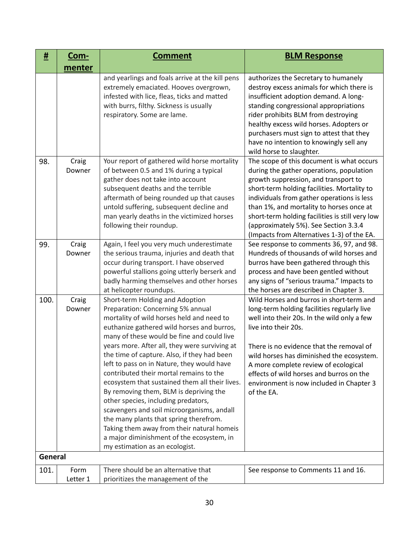| <u>#</u> | <u>Com-</u>      | <b>Comment</b>                                                                                                                                                                                                                                                                                                                                                                                                                                                                                                                                                                                                                                                                                                                                                 | <b>BLM Response</b>                                                                                                                                                                                                                                                                                                                                                                                              |
|----------|------------------|----------------------------------------------------------------------------------------------------------------------------------------------------------------------------------------------------------------------------------------------------------------------------------------------------------------------------------------------------------------------------------------------------------------------------------------------------------------------------------------------------------------------------------------------------------------------------------------------------------------------------------------------------------------------------------------------------------------------------------------------------------------|------------------------------------------------------------------------------------------------------------------------------------------------------------------------------------------------------------------------------------------------------------------------------------------------------------------------------------------------------------------------------------------------------------------|
|          | menter           |                                                                                                                                                                                                                                                                                                                                                                                                                                                                                                                                                                                                                                                                                                                                                                |                                                                                                                                                                                                                                                                                                                                                                                                                  |
|          |                  | and yearlings and foals arrive at the kill pens<br>extremely emaciated. Hooves overgrown,<br>infested with lice, fleas, ticks and matted<br>with burrs, filthy. Sickness is usually<br>respiratory. Some are lame.                                                                                                                                                                                                                                                                                                                                                                                                                                                                                                                                             | authorizes the Secretary to humanely<br>destroy excess animals for which there is<br>insufficient adoption demand. A long-<br>standing congressional appropriations<br>rider prohibits BLM from destroying<br>healthy excess wild horses. Adopters or<br>purchasers must sign to attest that they<br>have no intention to knowingly sell any<br>wild horse to slaughter.                                         |
| 98.      | Craig<br>Downer  | Your report of gathered wild horse mortality<br>of between 0.5 and 1% during a typical<br>gather does not take into account<br>subsequent deaths and the terrible<br>aftermath of being rounded up that causes<br>untold suffering, subsequent decline and<br>man yearly deaths in the victimized horses<br>following their roundup.                                                                                                                                                                                                                                                                                                                                                                                                                           | The scope of this document is what occurs<br>during the gather operations, population<br>growth suppression, and transport to<br>short-term holding facilities. Mortality to<br>individuals from gather operations is less<br>than 1%, and mortality to horses once at<br>short-term holding facilities is still very low<br>(approximately 5%). See Section 3.3.4<br>(Impacts from Alternatives 1-3) of the EA. |
| 99.      | Craig<br>Downer  | Again, I feel you very much underestimate<br>the serious trauma, injuries and death that<br>occur during transport. I have observed<br>powerful stallions going utterly berserk and<br>badly harming themselves and other horses<br>at helicopter roundups.                                                                                                                                                                                                                                                                                                                                                                                                                                                                                                    | See response to comments 36, 97, and 98.<br>Hundreds of thousands of wild horses and<br>burros have been gathered through this<br>process and have been gentled without<br>any signs of "serious trauma." Impacts to<br>the horses are described in Chapter 3.                                                                                                                                                   |
| 100.     | Craig<br>Downer  | Short-term Holding and Adoption<br>Preparation: Concerning 5% annual<br>mortality of wild horses held and need to<br>euthanize gathered wild horses and burros,<br>many of these would be fine and could live<br>years more. After all, they were surviving at<br>the time of capture. Also, if they had been<br>left to pass on in Nature, they would have<br>contributed their mortal remains to the<br>ecosystem that sustained them all their lives.<br>By removing them, BLM is depriving the<br>other species, including predators,<br>scavengers and soil microorganisms, andall<br>the many plants that spring therefrom.<br>Taking them away from their natural homeis<br>a major diminishment of the ecosystem, in<br>my estimation as an ecologist. | Wild Horses and burros in short-term and<br>long-term holding facilities regularly live<br>well into their 20s. In the wild only a few<br>live into their 20s.<br>There is no evidence that the removal of<br>wild horses has diminished the ecosystem.<br>A more complete review of ecological<br>effects of wild horses and burros on the<br>environment is now included in Chapter 3<br>of the EA.            |
| General  |                  |                                                                                                                                                                                                                                                                                                                                                                                                                                                                                                                                                                                                                                                                                                                                                                |                                                                                                                                                                                                                                                                                                                                                                                                                  |
| 101.     | Form<br>Letter 1 | There should be an alternative that<br>prioritizes the management of the                                                                                                                                                                                                                                                                                                                                                                                                                                                                                                                                                                                                                                                                                       | See response to Comments 11 and 16.                                                                                                                                                                                                                                                                                                                                                                              |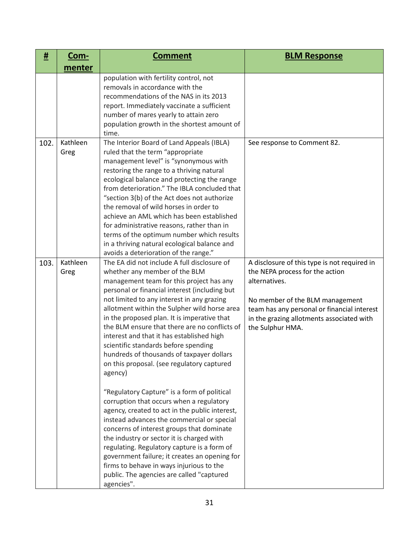| #    | <u>Com-</u>      | <b>Comment</b>                                                                                                                                                                                                                                                                                                                                                                                                                                                                                                                                                                                                                                                                                                                                                                                                                                                                                                                                                                                                                                                 | <b>BLM Response</b>                                                                                                                                                                                                                                 |
|------|------------------|----------------------------------------------------------------------------------------------------------------------------------------------------------------------------------------------------------------------------------------------------------------------------------------------------------------------------------------------------------------------------------------------------------------------------------------------------------------------------------------------------------------------------------------------------------------------------------------------------------------------------------------------------------------------------------------------------------------------------------------------------------------------------------------------------------------------------------------------------------------------------------------------------------------------------------------------------------------------------------------------------------------------------------------------------------------|-----------------------------------------------------------------------------------------------------------------------------------------------------------------------------------------------------------------------------------------------------|
|      | menter           |                                                                                                                                                                                                                                                                                                                                                                                                                                                                                                                                                                                                                                                                                                                                                                                                                                                                                                                                                                                                                                                                |                                                                                                                                                                                                                                                     |
|      |                  | population with fertility control, not<br>removals in accordance with the<br>recommendations of the NAS in its 2013<br>report. Immediately vaccinate a sufficient<br>number of mares yearly to attain zero<br>population growth in the shortest amount of<br>time.                                                                                                                                                                                                                                                                                                                                                                                                                                                                                                                                                                                                                                                                                                                                                                                             |                                                                                                                                                                                                                                                     |
| 102. | Kathleen<br>Greg | The Interior Board of Land Appeals (IBLA)<br>ruled that the term "appropriate<br>management level" is "synonymous with<br>restoring the range to a thriving natural<br>ecological balance and protecting the range<br>from deterioration." The IBLA concluded that<br>"section 3(b) of the Act does not authorize<br>the removal of wild horses in order to<br>achieve an AML which has been established<br>for administrative reasons, rather than in<br>terms of the optimum number which results<br>in a thriving natural ecological balance and<br>avoids a deterioration of the range."                                                                                                                                                                                                                                                                                                                                                                                                                                                                   | See response to Comment 82.                                                                                                                                                                                                                         |
| 103. | Kathleen<br>Greg | The EA did not include A full disclosure of<br>whether any member of the BLM<br>management team for this project has any<br>personal or financial interest (including but<br>not limited to any interest in any grazing<br>allotment within the Sulpher wild horse area<br>in the proposed plan. It is imperative that<br>the BLM ensure that there are no conflicts of<br>interest and that it has established high<br>scientific standards before spending<br>hundreds of thousands of taxpayer dollars<br>on this proposal. (see regulatory captured<br>agency)<br>"Regulatory Capture" is a form of political<br>corruption that occurs when a regulatory<br>agency, created to act in the public interest,<br>instead advances the commercial or special<br>concerns of interest groups that dominate<br>the industry or sector it is charged with<br>regulating. Regulatory capture is a form of<br>government failure; it creates an opening for<br>firms to behave in ways injurious to the<br>public. The agencies are called "captured<br>agencies". | A disclosure of this type is not required in<br>the NEPA process for the action<br>alternatives.<br>No member of the BLM management<br>team has any personal or financial interest<br>in the grazing allotments associated with<br>the Sulphur HMA. |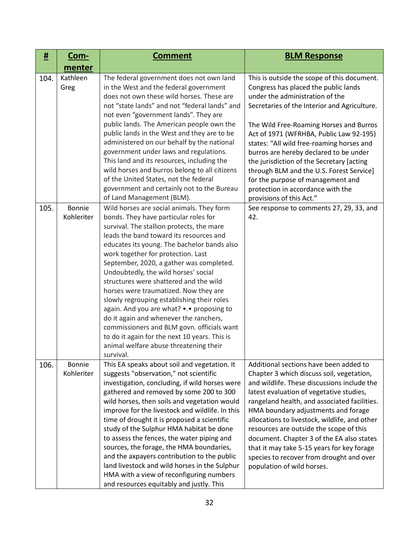| #    | <u>Com-</u>          | <b>Comment</b>                                                                                                                                                                                                                                                                                                                                                                                                                                                                                                                                                                                                                                                                                                                    | <b>BLM Response</b>                                                                                                                                                                                                                                                                                                                                                                                                                                                                                                                                |
|------|----------------------|-----------------------------------------------------------------------------------------------------------------------------------------------------------------------------------------------------------------------------------------------------------------------------------------------------------------------------------------------------------------------------------------------------------------------------------------------------------------------------------------------------------------------------------------------------------------------------------------------------------------------------------------------------------------------------------------------------------------------------------|----------------------------------------------------------------------------------------------------------------------------------------------------------------------------------------------------------------------------------------------------------------------------------------------------------------------------------------------------------------------------------------------------------------------------------------------------------------------------------------------------------------------------------------------------|
|      | menter               |                                                                                                                                                                                                                                                                                                                                                                                                                                                                                                                                                                                                                                                                                                                                   |                                                                                                                                                                                                                                                                                                                                                                                                                                                                                                                                                    |
| 104. | Kathleen<br>Greg     | The federal government does not own land<br>in the West and the federal government<br>does not own these wild horses. These are<br>not "state lands" and not "federal lands" and<br>not even "government lands". They are<br>public lands. The American people own the<br>public lands in the West and they are to be<br>administered on our behalf by the national<br>government under laws and regulations.<br>This land and its resources, including the<br>wild horses and burros belong to all citizens<br>of the United States, not the federal<br>government and certainly not to the Bureau<br>of Land Management (BLM).                                                                                                  | This is outside the scope of this document.<br>Congress has placed the public lands<br>under the administration of the<br>Secretaries of the Interior and Agriculture.<br>The Wild Free-Roaming Horses and Burros<br>Act of 1971 (WFRHBA, Public Law 92-195)<br>states: "All wild free-roaming horses and<br>burros are hereby declared to be under<br>the jurisdiction of the Secretary [acting<br>through BLM and the U.S. Forest Service]<br>for the purpose of management and<br>protection in accordance with the<br>provisions of this Act." |
| 105. | Bonnie<br>Kohleriter | Wild horses are social animals. They form<br>bonds. They have particular roles for<br>survival. The stallion protects, the mare<br>leads the band toward its resources and<br>educates its young. The bachelor bands also<br>work together for protection. Last<br>September, 2020, a gather was completed.<br>Undoubtedly, the wild horses' social<br>structures were shattered and the wild<br>horses were traumatized. Now they are<br>slowly regrouping establishing their roles<br>again. And you are what? •.• proposing to<br>do it again and whenever the ranchers,<br>commissioners and BLM govn. officials want<br>to do it again for the next 10 years. This is<br>animal welfare abuse threatening their<br>survival. | See response to comments 27, 29, 33, and<br>42.                                                                                                                                                                                                                                                                                                                                                                                                                                                                                                    |
| 106. | Bonnie<br>Kohleriter | This EA speaks about soil and vegetation. It<br>suggests "observation," not scientific<br>investigation, concluding, if wild horses were<br>gathered and removed by some 200 to 300<br>wild horses, then soils and vegetation would<br>improve for the livestock and wildlife. In this<br>time of drought it is proposed a scientific<br>study of the Sulphur HMA habitat be done<br>to assess the fences, the water piping and<br>sources, the forage, the HMA boundaries,<br>and the axpayers contribution to the public<br>land livestock and wild horses in the Sulphur<br>HMA with a view of reconfiguring numbers<br>and resources equitably and justly. This                                                               | Additional sections have been added to<br>Chapter 3 which discuss soil, vegetation,<br>and wildlife. These discussions include the<br>latest evaluation of vegetative studies,<br>rangeland health, and associated facilities.<br>HMA boundary adjustments and forage<br>allocations to livestock, wildlife, and other<br>resources are outside the scope of this<br>document. Chapter 3 of the EA also states<br>that it may take 5-15 years for key forage<br>species to recover from drought and over<br>population of wild horses.             |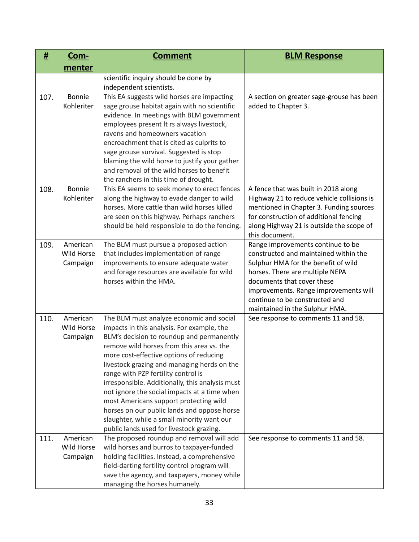| #    | <u>Com-</u>                               | <b>Comment</b>                                                                                                                                                                                                                                                                                                                                                                                                                                                                                                                                                                                          | <b>BLM Response</b>                                                                                                                                                                                                                                                                             |
|------|-------------------------------------------|---------------------------------------------------------------------------------------------------------------------------------------------------------------------------------------------------------------------------------------------------------------------------------------------------------------------------------------------------------------------------------------------------------------------------------------------------------------------------------------------------------------------------------------------------------------------------------------------------------|-------------------------------------------------------------------------------------------------------------------------------------------------------------------------------------------------------------------------------------------------------------------------------------------------|
|      | menter                                    |                                                                                                                                                                                                                                                                                                                                                                                                                                                                                                                                                                                                         |                                                                                                                                                                                                                                                                                                 |
|      |                                           | scientific inquiry should be done by<br>independent scientists.                                                                                                                                                                                                                                                                                                                                                                                                                                                                                                                                         |                                                                                                                                                                                                                                                                                                 |
| 107. | <b>Bonnie</b><br>Kohleriter               | This EA suggests wild horses are impacting<br>sage grouse habitat again with no scientific<br>evidence. In meetings with BLM government<br>employees present It rs always livestock,<br>ravens and homeowners vacation<br>encroachment that is cited as culprits to<br>sage grouse survival. Suggested is stop<br>blaming the wild horse to justify your gather<br>and removal of the wild horses to benefit<br>the ranchers in this time of drought.                                                                                                                                                   | A section on greater sage-grouse has been<br>added to Chapter 3.                                                                                                                                                                                                                                |
| 108. | <b>Bonnie</b><br>Kohleriter               | This EA seems to seek money to erect fences<br>along the highway to evade danger to wild<br>horses. More cattle than wild horses killed<br>are seen on this highway. Perhaps ranchers<br>should be held responsible to do the fencing.                                                                                                                                                                                                                                                                                                                                                                  | A fence that was built in 2018 along<br>Highway 21 to reduce vehicle collisions is<br>mentioned in Chapter 3. Funding sources<br>for construction of additional fencing<br>along Highway 21 is outside the scope of<br>this document.                                                           |
| 109. | American<br><b>Wild Horse</b><br>Campaign | The BLM must pursue a proposed action<br>that includes implementation of range<br>improvements to ensure adequate water<br>and forage resources are available for wild<br>horses within the HMA.                                                                                                                                                                                                                                                                                                                                                                                                        | Range improvements continue to be<br>constructed and maintained within the<br>Sulphur HMA for the benefit of wild<br>horses. There are multiple NEPA<br>documents that cover these<br>improvements. Range improvements will<br>continue to be constructed and<br>maintained in the Sulphur HMA. |
| 110. | American<br><b>Wild Horse</b><br>Campaign | The BLM must analyze economic and social<br>impacts in this analysis. For example, the<br>BLM's decision to roundup and permanently<br>remove wild horses from this area vs. the<br>more cost-effective options of reducing<br>livestock grazing and managing herds on the<br>range with PZP fertility control is<br>irresponsible. Additionally, this analysis must<br>not ignore the social impacts at a time when<br>most Americans support protecting wild<br>horses on our public lands and oppose horse<br>slaughter, while a small minority want our<br>public lands used for livestock grazing. | See response to comments 11 and 58.                                                                                                                                                                                                                                                             |
| 111. | American<br>Wild Horse<br>Campaign        | The proposed roundup and removal will add<br>wild horses and burros to taxpayer-funded<br>holding facilities. Instead, a comprehensive<br>field-darting fertility control program will<br>save the agency, and taxpayers, money while<br>managing the horses humanely.                                                                                                                                                                                                                                                                                                                                  | See response to comments 11 and 58.                                                                                                                                                                                                                                                             |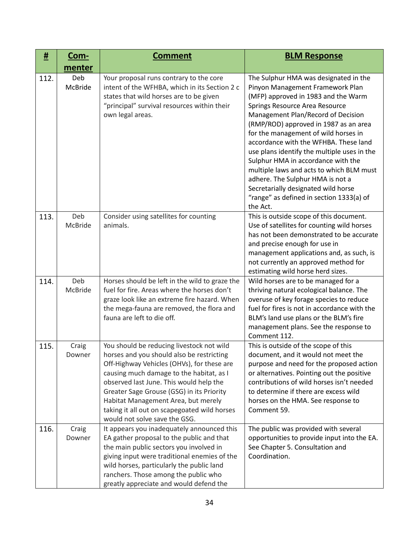| #    | <u>Com-</u>     | <b>Comment</b>                                                                                                                                                                                                                                                                                                                                                                                   | <b>BLM Response</b>                                                                                                                                                                                                                                                                                                                                                                                                                                                                                                                                                                    |
|------|-----------------|--------------------------------------------------------------------------------------------------------------------------------------------------------------------------------------------------------------------------------------------------------------------------------------------------------------------------------------------------------------------------------------------------|----------------------------------------------------------------------------------------------------------------------------------------------------------------------------------------------------------------------------------------------------------------------------------------------------------------------------------------------------------------------------------------------------------------------------------------------------------------------------------------------------------------------------------------------------------------------------------------|
|      | menter          |                                                                                                                                                                                                                                                                                                                                                                                                  |                                                                                                                                                                                                                                                                                                                                                                                                                                                                                                                                                                                        |
| 112. | Deb<br>McBride  | Your proposal runs contrary to the core<br>intent of the WFHBA, which in its Section 2 c<br>states that wild horses are to be given<br>"principal" survival resources within their<br>own legal areas.                                                                                                                                                                                           | The Sulphur HMA was designated in the<br>Pinyon Management Framework Plan<br>(MFP) approved in 1983 and the Warm<br>Springs Resource Area Resource<br>Management Plan/Record of Decision<br>(RMP/ROD) approved in 1987 as an area<br>for the management of wild horses in<br>accordance with the WFHBA. These land<br>use plans identify the multiple uses in the<br>Sulphur HMA in accordance with the<br>multiple laws and acts to which BLM must<br>adhere. The Sulphur HMA is not a<br>Secretarially designated wild horse<br>"range" as defined in section 1333(a) of<br>the Act. |
| 113. | Deb<br>McBride  | Consider using satellites for counting<br>animals.                                                                                                                                                                                                                                                                                                                                               | This is outside scope of this document.<br>Use of satellites for counting wild horses<br>has not been demonstrated to be accurate<br>and precise enough for use in<br>management applications and, as such, is<br>not currently an approved method for<br>estimating wild horse herd sizes.                                                                                                                                                                                                                                                                                            |
| 114. | Deb<br>McBride  | Horses should be left in the wild to graze the<br>fuel for fire. Areas where the horses don't<br>graze look like an extreme fire hazard. When<br>the mega-fauna are removed, the flora and<br>fauna are left to die off.                                                                                                                                                                         | Wild horses are to be managed for a<br>thriving natural ecological balance. The<br>overuse of key forage species to reduce<br>fuel for fires is not in accordance with the<br>BLM's land use plans or the BLM's fire<br>management plans. See the response to<br>Comment 112.                                                                                                                                                                                                                                                                                                          |
| 115. | Craig<br>Downer | You should be reducing livestock not wild<br>horses and you should also be restricting<br>Off-Highway Vehicles (OHVs), for these are<br>causing much damage to the habitat, as I<br>observed last June. This would help the<br>Greater Sage Grouse (GSG) in its Priority<br>Habitat Management Area, but merely<br>taking it all out on scapegoated wild horses<br>would not solve save the GSG. | This is outside of the scope of this<br>document, and it would not meet the<br>purpose and need for the proposed action<br>or alternatives. Pointing out the positive<br>contributions of wild horses isn't needed<br>to determine if there are excess wild<br>horses on the HMA. See response to<br>Comment 59.                                                                                                                                                                                                                                                                       |
| 116. | Craig<br>Downer | It appears you inadequately announced this<br>EA gather proposal to the public and that<br>the main public sectors you involved in<br>giving input were traditional enemies of the<br>wild horses, particularly the public land<br>ranchers. Those among the public who<br>greatly appreciate and would defend the                                                                               | The public was provided with several<br>opportunities to provide input into the EA.<br>See Chapter 5. Consultation and<br>Coordination.                                                                                                                                                                                                                                                                                                                                                                                                                                                |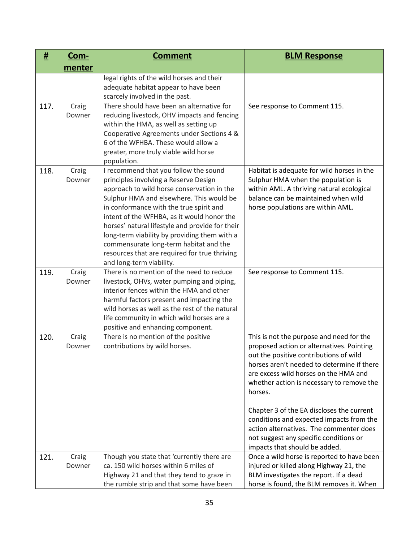| #    | <u>Com-</u>     | <b>Comment</b>                                                                                                                                                                                                                                                                                                                                                                                                                                                                              | <b>BLM Response</b>                                                                                                                                                                                                                                                                                                                                                                                                                                          |
|------|-----------------|---------------------------------------------------------------------------------------------------------------------------------------------------------------------------------------------------------------------------------------------------------------------------------------------------------------------------------------------------------------------------------------------------------------------------------------------------------------------------------------------|--------------------------------------------------------------------------------------------------------------------------------------------------------------------------------------------------------------------------------------------------------------------------------------------------------------------------------------------------------------------------------------------------------------------------------------------------------------|
|      | menter          |                                                                                                                                                                                                                                                                                                                                                                                                                                                                                             |                                                                                                                                                                                                                                                                                                                                                                                                                                                              |
|      |                 | legal rights of the wild horses and their<br>adequate habitat appear to have been<br>scarcely involved in the past.                                                                                                                                                                                                                                                                                                                                                                         |                                                                                                                                                                                                                                                                                                                                                                                                                                                              |
| 117. | Craig<br>Downer | There should have been an alternative for<br>reducing livestock, OHV impacts and fencing<br>within the HMA, as well as setting up<br>Cooperative Agreements under Sections 4 &<br>6 of the WFHBA. These would allow a<br>greater, more truly viable wild horse<br>population.                                                                                                                                                                                                               | See response to Comment 115.                                                                                                                                                                                                                                                                                                                                                                                                                                 |
| 118. | Craig<br>Downer | I recommend that you follow the sound<br>principles involving a Reserve Design<br>approach to wild horse conservation in the<br>Sulphur HMA and elsewhere. This would be<br>in conformance with the true spirit and<br>intent of the WFHBA, as it would honor the<br>horses' natural lifestyle and provide for their<br>long-term viability by providing them with a<br>commensurate long-term habitat and the<br>resources that are required for true thriving<br>and long-term viability. | Habitat is adequate for wild horses in the<br>Sulphur HMA when the population is<br>within AML. A thriving natural ecological<br>balance can be maintained when wild<br>horse populations are within AML.                                                                                                                                                                                                                                                    |
| 119. | Craig<br>Downer | There is no mention of the need to reduce<br>livestock, OHVs, water pumping and piping,<br>interior fences within the HMA and other<br>harmful factors present and impacting the<br>wild horses as well as the rest of the natural<br>life community in which wild horses are a<br>positive and enhancing component.                                                                                                                                                                        | See response to Comment 115.                                                                                                                                                                                                                                                                                                                                                                                                                                 |
| 120. | Craig<br>Downer | There is no mention of the positive<br>contributions by wild horses.                                                                                                                                                                                                                                                                                                                                                                                                                        | This is not the purpose and need for the<br>proposed action or alternatives. Pointing<br>out the positive contributions of wild<br>horses aren't needed to determine if there<br>are excess wild horses on the HMA and<br>whether action is necessary to remove the<br>horses.<br>Chapter 3 of the EA discloses the current<br>conditions and expected impacts from the<br>action alternatives. The commenter does<br>not suggest any specific conditions or |
| 121. | Craig<br>Downer | Though you state that 'currently there are<br>ca. 150 wild horses within 6 miles of<br>Highway 21 and that they tend to graze in<br>the rumble strip and that some have been                                                                                                                                                                                                                                                                                                                | impacts that should be added.<br>Once a wild horse is reported to have been<br>injured or killed along Highway 21, the<br>BLM investigates the report. If a dead<br>horse is found, the BLM removes it. When                                                                                                                                                                                                                                                 |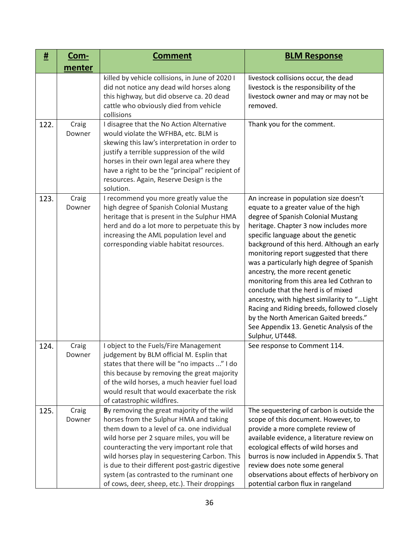| #    | <u>Com-</u>     | <b>Comment</b>                                                                                                                                                                                                                                                                                                                                                                                                                   | <b>BLM Response</b>                                                                                                                                                                                                                                                                                                                                                                                                                                                                                                                                                                                                                                                     |
|------|-----------------|----------------------------------------------------------------------------------------------------------------------------------------------------------------------------------------------------------------------------------------------------------------------------------------------------------------------------------------------------------------------------------------------------------------------------------|-------------------------------------------------------------------------------------------------------------------------------------------------------------------------------------------------------------------------------------------------------------------------------------------------------------------------------------------------------------------------------------------------------------------------------------------------------------------------------------------------------------------------------------------------------------------------------------------------------------------------------------------------------------------------|
|      | menter          |                                                                                                                                                                                                                                                                                                                                                                                                                                  |                                                                                                                                                                                                                                                                                                                                                                                                                                                                                                                                                                                                                                                                         |
|      |                 | killed by vehicle collisions, in June of 2020 I<br>did not notice any dead wild horses along<br>this highway, but did observe ca. 20 dead<br>cattle who obviously died from vehicle<br>collisions                                                                                                                                                                                                                                | livestock collisions occur, the dead<br>livestock is the responsibility of the<br>livestock owner and may or may not be<br>removed.                                                                                                                                                                                                                                                                                                                                                                                                                                                                                                                                     |
| 122. | Craig<br>Downer | I disagree that the No Action Alternative<br>would violate the WFHBA, etc. BLM is<br>skewing this law's interpretation in order to<br>justify a terrible suppression of the wild<br>horses in their own legal area where they<br>have a right to be the "principal" recipient of<br>resources. Again, Reserve Design is the<br>solution.                                                                                         | Thank you for the comment.                                                                                                                                                                                                                                                                                                                                                                                                                                                                                                                                                                                                                                              |
| 123. | Craig<br>Downer | I recommend you more greatly value the<br>high degree of Spanish Colonial Mustang<br>heritage that is present in the Sulphur HMA<br>herd and do a lot more to perpetuate this by<br>increasing the AML population level and<br>corresponding viable habitat resources.                                                                                                                                                           | An increase in population size doesn't<br>equate to a greater value of the high<br>degree of Spanish Colonial Mustang<br>heritage. Chapter 3 now includes more<br>specific language about the genetic<br>background of this herd. Although an early<br>monitoring report suggested that there<br>was a particularly high degree of Spanish<br>ancestry, the more recent genetic<br>monitoring from this area led Cothran to<br>conclude that the herd is of mixed<br>ancestry, with highest similarity to " Light<br>Racing and Riding breeds, followed closely<br>by the North American Gaited breeds."<br>See Appendix 13. Genetic Analysis of the<br>Sulphur, UT448. |
| 124. | Craig<br>Downer | I object to the Fuels/Fire Management<br>judgement by BLM official M. Esplin that<br>states that there will be "no impacts " I do<br>this because by removing the great majority<br>of the wild horses, a much heavier fuel load<br>would result that would exacerbate the risk<br>of catastrophic wildfires.                                                                                                                    | See response to Comment 114.                                                                                                                                                                                                                                                                                                                                                                                                                                                                                                                                                                                                                                            |
| 125. | Craig<br>Downer | By removing the great majority of the wild<br>horses from the Sulphur HMA and taking<br>them down to a level of ca. one individual<br>wild horse per 2 square miles, you will be<br>counteracting the very important role that<br>wild horses play in sequestering Carbon. This<br>is due to their different post-gastric digestive<br>system (as contrasted to the ruminant one<br>of cows, deer, sheep, etc.). Their droppings | The sequestering of carbon is outside the<br>scope of this document. However, to<br>provide a more complete review of<br>available evidence, a literature review on<br>ecological effects of wild horses and<br>burros is now included in Appendix 5. That<br>review does note some general<br>observations about effects of herbivory on<br>potential carbon flux in rangeland                                                                                                                                                                                                                                                                                         |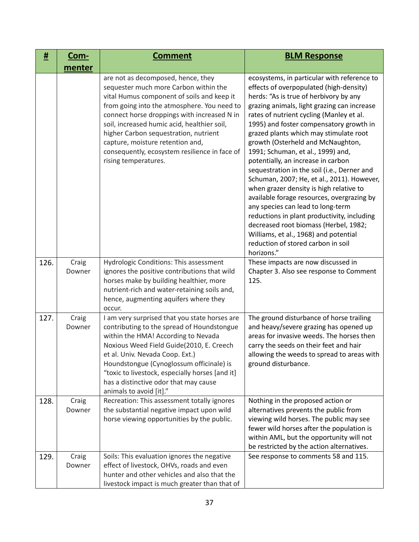| <u>#</u> | <u>Com-</u>     | <b>Comment</b>                                                                                                                                                                                                                                                                                                                                                                                                               | <b>BLM Response</b>                                                                                                                                                                                                                                                                                                                                                                                                                                                                                                                                                                                                                                                                                                                                                                                                                              |
|----------|-----------------|------------------------------------------------------------------------------------------------------------------------------------------------------------------------------------------------------------------------------------------------------------------------------------------------------------------------------------------------------------------------------------------------------------------------------|--------------------------------------------------------------------------------------------------------------------------------------------------------------------------------------------------------------------------------------------------------------------------------------------------------------------------------------------------------------------------------------------------------------------------------------------------------------------------------------------------------------------------------------------------------------------------------------------------------------------------------------------------------------------------------------------------------------------------------------------------------------------------------------------------------------------------------------------------|
|          | menter          |                                                                                                                                                                                                                                                                                                                                                                                                                              |                                                                                                                                                                                                                                                                                                                                                                                                                                                                                                                                                                                                                                                                                                                                                                                                                                                  |
|          |                 | are not as decomposed, hence, they<br>sequester much more Carbon within the<br>vital Humus component of soils and keep it<br>from going into the atmosphere. You need to<br>connect horse droppings with increased N in<br>soil, increased humic acid, healthier soil,<br>higher Carbon sequestration, nutrient<br>capture, moisture retention and,<br>consequently, ecosystem resilience in face of<br>rising temperatures. | ecosystems, in particular with reference to<br>effects of overpopulated (high-density)<br>herds: "As is true of herbivory by any<br>grazing animals, light grazing can increase<br>rates of nutrient cycling (Manley et al.<br>1995) and foster compensatory growth in<br>grazed plants which may stimulate root<br>growth (Osterheld and McNaughton,<br>1991; Schuman, et al., 1999) and,<br>potentially, an increase in carbon<br>sequestration in the soil (i.e., Derner and<br>Schuman, 2007; He, et al., 2011). However,<br>when grazer density is high relative to<br>available forage resources, overgrazing by<br>any species can lead to long-term<br>reductions in plant productivity, including<br>decreased root biomass (Herbel, 1982;<br>Williams, et al., 1968) and potential<br>reduction of stored carbon in soil<br>horizons." |
| 126.     | Craig<br>Downer | Hydrologic Conditions: This assessment<br>ignores the positive contributions that wild<br>horses make by building healthier, more<br>nutrient-rich and water-retaining soils and,<br>hence, augmenting aquifers where they<br>occur.                                                                                                                                                                                         | These impacts are now discussed in<br>Chapter 3. Also see response to Comment<br>125.                                                                                                                                                                                                                                                                                                                                                                                                                                                                                                                                                                                                                                                                                                                                                            |
| 127.     | Craig<br>Downer | I am very surprised that you state horses are<br>contributing to the spread of Houndstongue<br>within the HMA! According to Nevada<br>Noxious Weed Field Guide(2010, E. Creech<br>et al. Univ. Nevada Coop. Ext.)<br>Houndstongue (Cynoglossum officinale) is<br>"toxic to livestock, especially horses [and it]<br>has a distinctive odor that may cause<br>animals to avoid [it]."                                         | The ground disturbance of horse trailing<br>and heavy/severe grazing has opened up<br>areas for invasive weeds. The horses then<br>carry the seeds on their feet and hair<br>allowing the weeds to spread to areas with<br>ground disturbance.                                                                                                                                                                                                                                                                                                                                                                                                                                                                                                                                                                                                   |
| 128.     | Craig<br>Downer | Recreation: This assessment totally ignores<br>the substantial negative impact upon wild<br>horse viewing opportunities by the public.                                                                                                                                                                                                                                                                                       | Nothing in the proposed action or<br>alternatives prevents the public from<br>viewing wild horses. The public may see<br>fewer wild horses after the population is<br>within AML, but the opportunity will not<br>be restricted by the action alternatives.                                                                                                                                                                                                                                                                                                                                                                                                                                                                                                                                                                                      |
| 129.     | Craig<br>Downer | Soils: This evaluation ignores the negative<br>effect of livestock, OHVs, roads and even<br>hunter and other vehicles and also that the<br>livestock impact is much greater than that of                                                                                                                                                                                                                                     | See response to comments 58 and 115.                                                                                                                                                                                                                                                                                                                                                                                                                                                                                                                                                                                                                                                                                                                                                                                                             |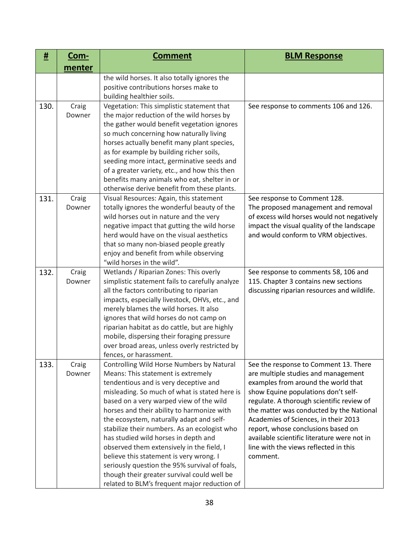| #    | Com-            | <b>Comment</b>                                                                                                                                                                                                                                                                                                                                                                                                                                                                                                                                                                                                                                 | <b>BLM Response</b>                                                                                                                                                                                                                                                                                                                                                                                                                   |
|------|-----------------|------------------------------------------------------------------------------------------------------------------------------------------------------------------------------------------------------------------------------------------------------------------------------------------------------------------------------------------------------------------------------------------------------------------------------------------------------------------------------------------------------------------------------------------------------------------------------------------------------------------------------------------------|---------------------------------------------------------------------------------------------------------------------------------------------------------------------------------------------------------------------------------------------------------------------------------------------------------------------------------------------------------------------------------------------------------------------------------------|
|      | menter          |                                                                                                                                                                                                                                                                                                                                                                                                                                                                                                                                                                                                                                                |                                                                                                                                                                                                                                                                                                                                                                                                                                       |
|      |                 | the wild horses. It also totally ignores the<br>positive contributions horses make to<br>building healthier soils.                                                                                                                                                                                                                                                                                                                                                                                                                                                                                                                             |                                                                                                                                                                                                                                                                                                                                                                                                                                       |
| 130. | Craig<br>Downer | Vegetation: This simplistic statement that<br>the major reduction of the wild horses by<br>the gather would benefit vegetation ignores<br>so much concerning how naturally living<br>horses actually benefit many plant species,<br>as for example by building richer soils,<br>seeding more intact, germinative seeds and<br>of a greater variety, etc., and how this then<br>benefits many animals who eat, shelter in or<br>otherwise derive benefit from these plants.                                                                                                                                                                     | See response to comments 106 and 126.                                                                                                                                                                                                                                                                                                                                                                                                 |
| 131. | Craig<br>Downer | Visual Resources: Again, this statement<br>totally ignores the wonderful beauty of the<br>wild horses out in nature and the very<br>negative impact that gutting the wild horse<br>herd would have on the visual aesthetics<br>that so many non-biased people greatly<br>enjoy and benefit from while observing<br>"wild horses in the wild".                                                                                                                                                                                                                                                                                                  | See response to Comment 128.<br>The proposed management and removal<br>of excess wild horses would not negatively<br>impact the visual quality of the landscape<br>and would conform to VRM objectives.                                                                                                                                                                                                                               |
| 132. | Craig<br>Downer | Wetlands / Riparian Zones: This overly<br>simplistic statement fails to carefully analyze<br>all the factors contributing to riparian<br>impacts, especially livestock, OHVs, etc., and<br>merely blames the wild horses. It also<br>ignores that wild horses do not camp on<br>riparian habitat as do cattle, but are highly<br>mobile, dispersing their foraging pressure<br>over broad areas, unless overly restricted by<br>fences, or harassment.                                                                                                                                                                                         | See response to comments 58, 106 and<br>115. Chapter 3 contains new sections<br>discussing riparian resources and wildlife.                                                                                                                                                                                                                                                                                                           |
| 133. | Craig<br>Downer | Controlling Wild Horse Numbers by Natural<br>Means: This statement is extremely<br>tendentious and is very deceptive and<br>misleading. So much of what is stated here is<br>based on a very warped view of the wild<br>horses and their ability to harmonize with<br>the ecosystem, naturally adapt and self-<br>stabilize their numbers. As an ecologist who<br>has studied wild horses in depth and<br>observed them extensively in the field, I<br>believe this statement is very wrong. I<br>seriously question the 95% survival of foals,<br>though their greater survival could well be<br>related to BLM's frequent major reduction of | See the response to Comment 13. There<br>are multiple studies and management<br>examples from around the world that<br>show Equine populations don't self-<br>regulate. A thorough scientific review of<br>the matter was conducted by the National<br>Academies of Sciences, in their 2013<br>report, whose conclusions based on<br>available scientific literature were not in<br>line with the views reflected in this<br>comment. |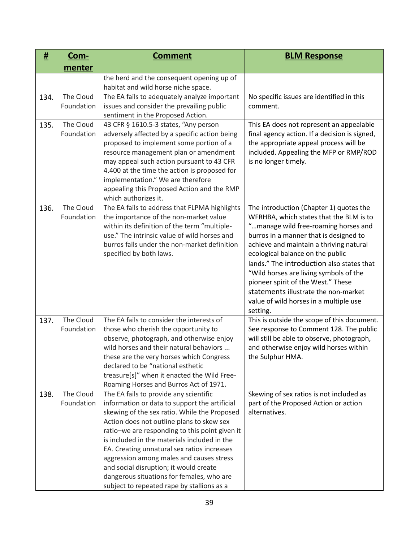| #    | <u>Com-</u>             | <b>Comment</b>                                                                                                                                                                                                                                                                                                                                                                                                                                                                                                         | <b>BLM Response</b>                                                                                                                                                                                                                                                                                                                                                                                                                                                            |
|------|-------------------------|------------------------------------------------------------------------------------------------------------------------------------------------------------------------------------------------------------------------------------------------------------------------------------------------------------------------------------------------------------------------------------------------------------------------------------------------------------------------------------------------------------------------|--------------------------------------------------------------------------------------------------------------------------------------------------------------------------------------------------------------------------------------------------------------------------------------------------------------------------------------------------------------------------------------------------------------------------------------------------------------------------------|
|      | menter                  |                                                                                                                                                                                                                                                                                                                                                                                                                                                                                                                        |                                                                                                                                                                                                                                                                                                                                                                                                                                                                                |
|      |                         | the herd and the consequent opening up of<br>habitat and wild horse niche space.                                                                                                                                                                                                                                                                                                                                                                                                                                       |                                                                                                                                                                                                                                                                                                                                                                                                                                                                                |
| 134. | The Cloud<br>Foundation | The EA fails to adequately analyze important<br>issues and consider the prevailing public<br>sentiment in the Proposed Action.                                                                                                                                                                                                                                                                                                                                                                                         | No specific issues are identified in this<br>comment.                                                                                                                                                                                                                                                                                                                                                                                                                          |
| 135. | The Cloud<br>Foundation | 43 CFR § 1610.5-3 states, "Any person<br>adversely affected by a specific action being<br>proposed to implement some portion of a<br>resource management plan or amendment<br>may appeal such action pursuant to 43 CFR<br>4.400 at the time the action is proposed for<br>implementation." We are therefore<br>appealing this Proposed Action and the RMP<br>which authorizes it.                                                                                                                                     | This EA does not represent an appealable<br>final agency action. If a decision is signed,<br>the appropriate appeal process will be<br>included. Appealing the MFP or RMP/ROD<br>is no longer timely.                                                                                                                                                                                                                                                                          |
| 136. | The Cloud<br>Foundation | The EA fails to address that FLPMA highlights<br>the importance of the non-market value<br>within its definition of the term "multiple-<br>use." The intrinsic value of wild horses and<br>burros falls under the non-market definition<br>specified by both laws.                                                                                                                                                                                                                                                     | The introduction (Chapter 1) quotes the<br>WFRHBA, which states that the BLM is to<br>"manage wild free-roaming horses and<br>burros in a manner that is designed to<br>achieve and maintain a thriving natural<br>ecological balance on the public<br>lands." The introduction also states that<br>"Wild horses are living symbols of the<br>pioneer spirit of the West." These<br>statements illustrate the non-market<br>value of wild horses in a multiple use<br>setting. |
| 137. | The Cloud<br>Foundation | The EA fails to consider the interests of<br>those who cherish the opportunity to<br>observe, photograph, and otherwise enjoy<br>wild horses and their natural behaviors<br>these are the very horses which Congress<br>declared to be "national esthetic<br>treasure[s]" when it enacted the Wild Free-<br>Roaming Horses and Burros Act of 1971.                                                                                                                                                                     | This is outside the scope of this document.<br>See response to Comment 128. The public<br>will still be able to observe, photograph,<br>and otherwise enjoy wild horses within<br>the Sulphur HMA.                                                                                                                                                                                                                                                                             |
| 138. | The Cloud<br>Foundation | The EA fails to provide any scientific<br>information or data to support the artificial<br>skewing of the sex ratio. While the Proposed<br>Action does not outline plans to skew sex<br>ratio-we are responding to this point given it<br>is included in the materials included in the<br>EA. Creating unnatural sex ratios increases<br>aggression among males and causes stress<br>and social disruption; it would create<br>dangerous situations for females, who are<br>subject to repeated rape by stallions as a | Skewing of sex ratios is not included as<br>part of the Proposed Action or action<br>alternatives.                                                                                                                                                                                                                                                                                                                                                                             |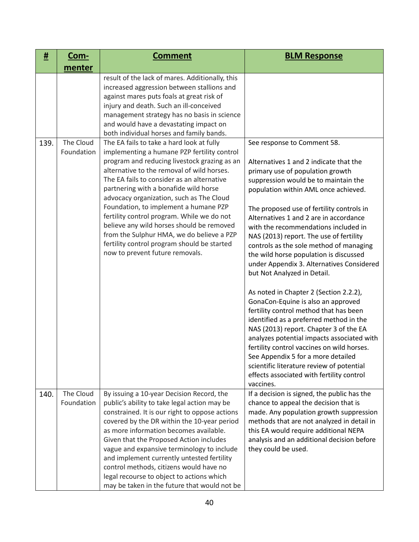| #    | <u>Com-</u>             | <b>Comment</b>                                                                                                                                                                                                                                                                                                                                                                                                                                                                                                                                                                               | <b>BLM Response</b>                                                                                                                                                                                                                                                                                                                                                                                                                                                                                                                                                                                                                                                                                                                                                                                                                                                                                                                                                                          |
|------|-------------------------|----------------------------------------------------------------------------------------------------------------------------------------------------------------------------------------------------------------------------------------------------------------------------------------------------------------------------------------------------------------------------------------------------------------------------------------------------------------------------------------------------------------------------------------------------------------------------------------------|----------------------------------------------------------------------------------------------------------------------------------------------------------------------------------------------------------------------------------------------------------------------------------------------------------------------------------------------------------------------------------------------------------------------------------------------------------------------------------------------------------------------------------------------------------------------------------------------------------------------------------------------------------------------------------------------------------------------------------------------------------------------------------------------------------------------------------------------------------------------------------------------------------------------------------------------------------------------------------------------|
|      | menter                  |                                                                                                                                                                                                                                                                                                                                                                                                                                                                                                                                                                                              |                                                                                                                                                                                                                                                                                                                                                                                                                                                                                                                                                                                                                                                                                                                                                                                                                                                                                                                                                                                              |
|      |                         | result of the lack of mares. Additionally, this<br>increased aggression between stallions and<br>against mares puts foals at great risk of<br>injury and death. Such an ill-conceived<br>management strategy has no basis in science<br>and would have a devastating impact on<br>both individual horses and family bands.                                                                                                                                                                                                                                                                   |                                                                                                                                                                                                                                                                                                                                                                                                                                                                                                                                                                                                                                                                                                                                                                                                                                                                                                                                                                                              |
| 139. | The Cloud<br>Foundation | The EA fails to take a hard look at fully<br>implementing a humane PZP fertility control<br>program and reducing livestock grazing as an<br>alternative to the removal of wild horses.<br>The EA fails to consider as an alternative<br>partnering with a bonafide wild horse<br>advocacy organization, such as The Cloud<br>Foundation, to implement a humane PZP<br>fertility control program. While we do not<br>believe any wild horses should be removed<br>from the Sulphur HMA, we do believe a PZP<br>fertility control program should be started<br>now to prevent future removals. | See response to Comment 58.<br>Alternatives 1 and 2 indicate that the<br>primary use of population growth<br>suppression would be to maintain the<br>population within AML once achieved.<br>The proposed use of fertility controls in<br>Alternatives 1 and 2 are in accordance<br>with the recommendations included in<br>NAS (2013) report. The use of fertility<br>controls as the sole method of managing<br>the wild horse population is discussed<br>under Appendix 3. Alternatives Considered<br>but Not Analyzed in Detail.<br>As noted in Chapter 2 (Section 2.2.2),<br>GonaCon-Equine is also an approved<br>fertility control method that has been<br>identified as a preferred method in the<br>NAS (2013) report. Chapter 3 of the EA<br>analyzes potential impacts associated with<br>fertility control vaccines on wild horses.<br>See Appendix 5 for a more detailed<br>scientific literature review of potential<br>effects associated with fertility control<br>vaccines. |
| 140. | The Cloud<br>Foundation | By issuing a 10-year Decision Record, the<br>public's ability to take legal action may be<br>constrained. It is our right to oppose actions<br>covered by the DR within the 10-year period<br>as more information becomes available.<br>Given that the Proposed Action includes<br>vague and expansive terminology to include<br>and implement currently untested fertility<br>control methods, citizens would have no<br>legal recourse to object to actions which<br>may be taken in the future that would not be                                                                          | If a decision is signed, the public has the<br>chance to appeal the decision that is<br>made. Any population growth suppression<br>methods that are not analyzed in detail in<br>this EA would require additional NEPA<br>analysis and an additional decision before<br>they could be used.                                                                                                                                                                                                                                                                                                                                                                                                                                                                                                                                                                                                                                                                                                  |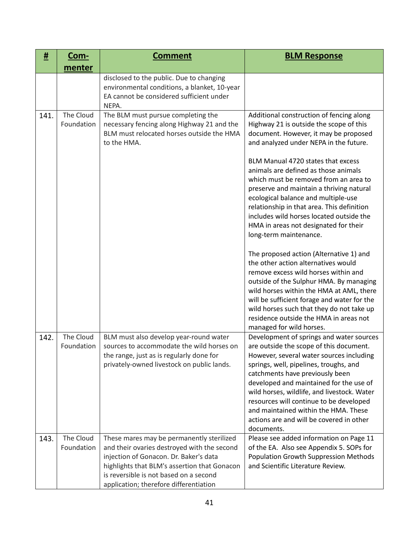| #    | Com-                    | <b>Comment</b>                                                                                                                                                                                                                                                         | <b>BLM Response</b>                                                                                                                                                                                                                                                                                                                                                                                                                                                                                                                                                                                                                                                                                                                                                                                                                                                                                                              |
|------|-------------------------|------------------------------------------------------------------------------------------------------------------------------------------------------------------------------------------------------------------------------------------------------------------------|----------------------------------------------------------------------------------------------------------------------------------------------------------------------------------------------------------------------------------------------------------------------------------------------------------------------------------------------------------------------------------------------------------------------------------------------------------------------------------------------------------------------------------------------------------------------------------------------------------------------------------------------------------------------------------------------------------------------------------------------------------------------------------------------------------------------------------------------------------------------------------------------------------------------------------|
|      | menter                  |                                                                                                                                                                                                                                                                        |                                                                                                                                                                                                                                                                                                                                                                                                                                                                                                                                                                                                                                                                                                                                                                                                                                                                                                                                  |
|      |                         | disclosed to the public. Due to changing<br>environmental conditions, a blanket, 10-year<br>EA cannot be considered sufficient under<br>NEPA.                                                                                                                          |                                                                                                                                                                                                                                                                                                                                                                                                                                                                                                                                                                                                                                                                                                                                                                                                                                                                                                                                  |
| 141. | The Cloud<br>Foundation | The BLM must pursue completing the<br>necessary fencing along Highway 21 and the<br>BLM must relocated horses outside the HMA<br>to the HMA.                                                                                                                           | Additional construction of fencing along<br>Highway 21 is outside the scope of this<br>document. However, it may be proposed<br>and analyzed under NEPA in the future.<br>BLM Manual 4720 states that excess<br>animals are defined as those animals<br>which must be removed from an area to<br>preserve and maintain a thriving natural<br>ecological balance and multiple-use<br>relationship in that area. This definition<br>includes wild horses located outside the<br>HMA in areas not designated for their<br>long-term maintenance.<br>The proposed action (Alternative 1) and<br>the other action alternatives would<br>remove excess wild horses within and<br>outside of the Sulphur HMA. By managing<br>wild horses within the HMA at AML, there<br>will be sufficient forage and water for the<br>wild horses such that they do not take up<br>residence outside the HMA in areas not<br>managed for wild horses. |
| 142. | The Cloud<br>Foundation | BLM must also develop year-round water<br>sources to accommodate the wild horses on<br>the range, just as is regularly done for<br>privately-owned livestock on public lands.                                                                                          | Development of springs and water sources<br>are outside the scope of this document.<br>However, several water sources including<br>springs, well, pipelines, troughs, and<br>catchments have previously been<br>developed and maintained for the use of<br>wild horses, wildlife, and livestock. Water<br>resources will continue to be developed<br>and maintained within the HMA. These<br>actions are and will be covered in other<br>documents.                                                                                                                                                                                                                                                                                                                                                                                                                                                                              |
| 143. | The Cloud<br>Foundation | These mares may be permanently sterilized<br>and their ovaries destroyed with the second<br>injection of Gonacon. Dr. Baker's data<br>highlights that BLM's assertion that Gonacon<br>is reversible is not based on a second<br>application; therefore differentiation | Please see added information on Page 11<br>of the EA. Also see Appendix 5. SOPs for<br><b>Population Growth Suppression Methods</b><br>and Scientific Literature Review.                                                                                                                                                                                                                                                                                                                                                                                                                                                                                                                                                                                                                                                                                                                                                         |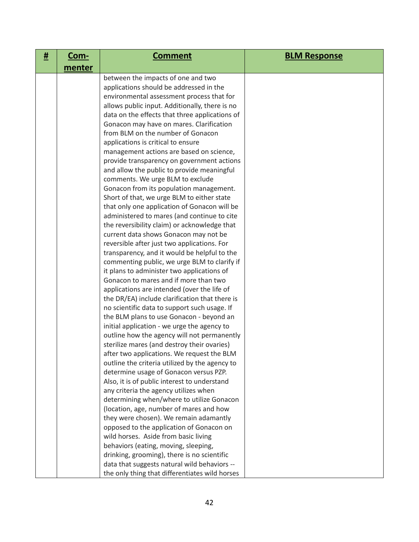| # | <u>Com-</u> | <b>Comment</b>                                                                             | <b>BLM Response</b> |
|---|-------------|--------------------------------------------------------------------------------------------|---------------------|
|   | menter      |                                                                                            |                     |
|   |             | between the impacts of one and two                                                         |                     |
|   |             | applications should be addressed in the                                                    |                     |
|   |             | environmental assessment process that for                                                  |                     |
|   |             | allows public input. Additionally, there is no                                             |                     |
|   |             | data on the effects that three applications of                                             |                     |
|   |             | Gonacon may have on mares. Clarification                                                   |                     |
|   |             | from BLM on the number of Gonacon                                                          |                     |
|   |             | applications is critical to ensure                                                         |                     |
|   |             | management actions are based on science,                                                   |                     |
|   |             | provide transparency on government actions                                                 |                     |
|   |             | and allow the public to provide meaningful                                                 |                     |
|   |             | comments. We urge BLM to exclude                                                           |                     |
|   |             | Gonacon from its population management.                                                    |                     |
|   |             | Short of that, we urge BLM to either state<br>that only one application of Gonacon will be |                     |
|   |             | administered to mares (and continue to cite                                                |                     |
|   |             | the reversibility claim) or acknowledge that                                               |                     |
|   |             | current data shows Gonacon may not be                                                      |                     |
|   |             | reversible after just two applications. For                                                |                     |
|   |             | transparency, and it would be helpful to the                                               |                     |
|   |             | commenting public, we urge BLM to clarify if                                               |                     |
|   |             | it plans to administer two applications of                                                 |                     |
|   |             | Gonacon to mares and if more than two                                                      |                     |
|   |             | applications are intended (over the life of                                                |                     |
|   |             | the DR/EA) include clarification that there is                                             |                     |
|   |             | no scientific data to support such usage. If                                               |                     |
|   |             | the BLM plans to use Gonacon - beyond an                                                   |                     |
|   |             | initial application - we urge the agency to                                                |                     |
|   |             | outline how the agency will not permanently                                                |                     |
|   |             | sterilize mares (and destroy their ovaries)                                                |                     |
|   |             | after two applications. We request the BLM                                                 |                     |
|   |             | outline the criteria utilized by the agency to                                             |                     |
|   |             | determine usage of Gonacon versus PZP.                                                     |                     |
|   |             | Also, it is of public interest to understand                                               |                     |
|   |             | any criteria the agency utilizes when                                                      |                     |
|   |             | determining when/where to utilize Gonacon                                                  |                     |
|   |             | (location, age, number of mares and how                                                    |                     |
|   |             | they were chosen). We remain adamantly                                                     |                     |
|   |             | opposed to the application of Gonacon on                                                   |                     |
|   |             | wild horses. Aside from basic living                                                       |                     |
|   |             | behaviors (eating, moving, sleeping,                                                       |                     |
|   |             | drinking, grooming), there is no scientific                                                |                     |
|   |             | data that suggests natural wild behaviors --                                               |                     |
|   |             | the only thing that differentiates wild horses                                             |                     |